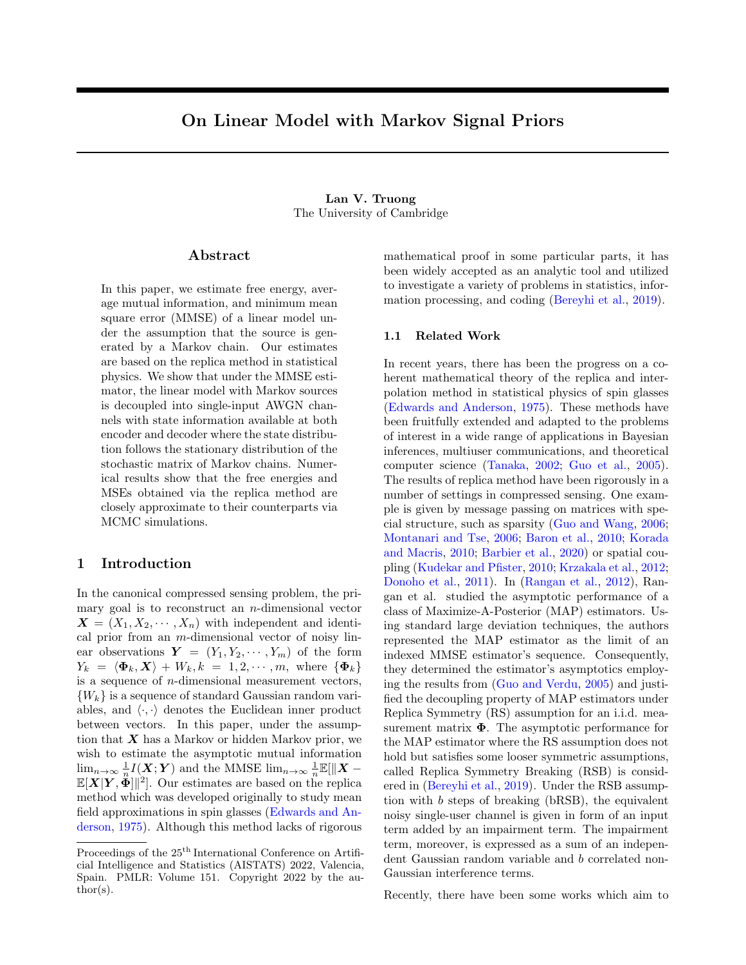# On Linear Model with Markov Signal Priors

### Lan V. Truong The University of Cambridge

### Abstract

In this paper, we estimate free energy, average mutual information, and minimum mean square error (MMSE) of a linear model under the assumption that the source is generated by a Markov chain. Our estimates are based on the replica method in statistical physics. We show that under the MMSE estimator, the linear model with Markov sources is decoupled into single-input AWGN channels with state information available at both encoder and decoder where the state distribution follows the stationary distribution of the stochastic matrix of Markov chains. Numerical results show that the free energies and MSEs obtained via the replica method are closely approximate to their counterparts via MCMC simulations.

### 1 Introduction

In the canonical compressed sensing problem, the primary goal is to reconstruct an  $n$ -dimensional vector  $\boldsymbol{X} = (X_1, X_2, \cdots, X_n)$  with independent and identical prior from an  $m$ -dimensional vector of noisy linear observations  $Y = (Y_1, Y_2, \dots, Y_m)$  of the form  $Y_k = \langle \mathbf{\Phi}_k, \mathbf{X} \rangle + W_k, k = 1, 2, \cdots, m$ , where  $\{\mathbf{\Phi}_k\}$ is a sequence of  $n$ -dimensional measurement vectors,  ${W_k}$  is a sequence of standard Gaussian random variables, and  $\langle \cdot, \cdot \rangle$  denotes the Euclidean inner product between vectors. In this paper, under the assumption that  $X$  has a Markov or hidden Markov prior, we wish to estimate the asymptotic mutual information  $\lim_{n\to\infty}\frac{1}{n}I(X;Y)$  and the MMSE  $\lim_{n\to\infty}\frac{1}{n}\mathbb{E}[\Vert X-\Vert Y\Vert]$  $\mathbb{E}[X|Y, \overset{n}{\Phi}]]^{2}$ . Our estimates are based on the replica method which was developed originally to study mean field approximations in spin glasses [\(Edwards and An](#page-8-0)[derson,](#page-8-0) [1975\)](#page-8-0). Although this method lacks of rigorous mathematical proof in some particular parts, it has been widely accepted as an analytic tool and utilized to investigate a variety of problems in statistics, information processing, and coding [\(Bereyhi et al.,](#page-8-1) [2019\)](#page-8-1).

### 1.1 Related Work

In recent years, there has been the progress on a coherent mathematical theory of the replica and interpolation method in statistical physics of spin glasses [\(Edwards and Anderson,](#page-8-0) [1975\)](#page-8-0). These methods have been fruitfully extended and adapted to the problems of interest in a wide range of applications in Bayesian inferences, multiuser communications, and theoretical computer science [\(Tanaka,](#page-9-0) [2002;](#page-9-0) [Guo et al.,](#page-8-2) [2005\)](#page-8-2). The results of replica method have been rigorously in a number of settings in compressed sensing. One example is given by message passing on matrices with special structure, such as sparsity [\(Guo and Wang,](#page-8-3) [2006;](#page-8-3) [Montanari and Tse,](#page-9-1) [2006;](#page-9-1) [Baron et al.,](#page-8-4) [2010;](#page-8-4) [Korada](#page-8-5) [and Macris,](#page-8-5) [2010;](#page-8-5) [Barbier et al.,](#page-8-6) [2020\)](#page-8-6) or spatial coupling [\(Kudekar and Pfister,](#page-8-7) [2010;](#page-8-7) [Krzakala et al.,](#page-8-8) [2012;](#page-8-8) [Donoho et al.,](#page-8-9) [2011\)](#page-8-9). In [\(Rangan et al.,](#page-9-2) [2012\)](#page-9-2), Rangan et al. studied the asymptotic performance of a class of Maximize-A-Posterior (MAP) estimators. Using standard large deviation techniques, the authors represented the MAP estimator as the limit of an indexed MMSE estimator's sequence. Consequently, they determined the estimator's asymptotics employing the results from [\(Guo and Verdu,](#page-8-10) [2005\)](#page-8-10) and justified the decoupling property of MAP estimators under Replica Symmetry (RS) assumption for an i.i.d. measurement matrix  $\Phi$ . The asymptotic performance for the MAP estimator where the RS assumption does not hold but satisfies some looser symmetric assumptions, called Replica Symmetry Breaking (RSB) is considered in [\(Bereyhi et al.,](#page-8-1) [2019\)](#page-8-1). Under the RSB assumption with b steps of breaking (bRSB), the equivalent noisy single-user channel is given in form of an input term added by an impairment term. The impairment term, moreover, is expressed as a sum of an independent Gaussian random variable and b correlated non-Gaussian interference terms.

Recently, there have been some works which aim to

Proceedings of the  $25<sup>th</sup>$  International Conference on Artificial Intelligence and Statistics (AISTATS) 2022, Valencia, Spain. PMLR: Volume 151. Copyright 2022 by the au- $\text{thor}(s)$ .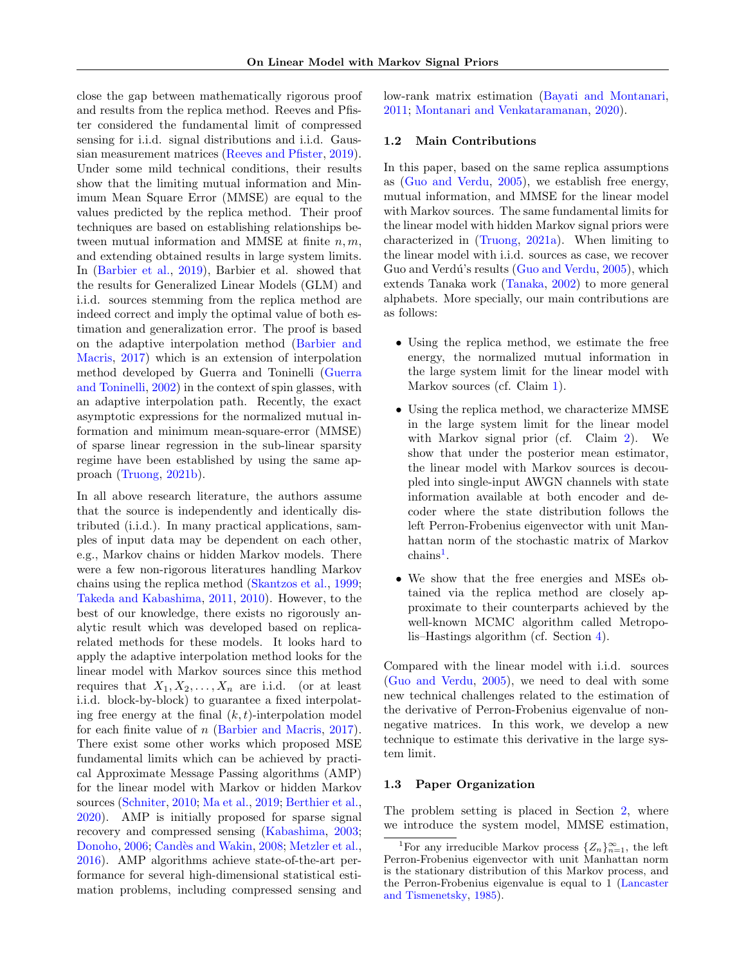close the gap between mathematically rigorous proof and results from the replica method. Reeves and Pfister considered the fundamental limit of compressed sensing for i.i.d. signal distributions and i.i.d. Gaussian measurement matrices [\(Reeves and Pfister,](#page-9-3) [2019\)](#page-9-3). Under some mild technical conditions, their results show that the limiting mutual information and Minimum Mean Square Error (MMSE) are equal to the values predicted by the replica method. Their proof techniques are based on establishing relationships between mutual information and MMSE at finite  $n, m$ , and extending obtained results in large system limits. In [\(Barbier et al.,](#page-8-11) [2019\)](#page-8-11), Barbier et al. showed that the results for Generalized Linear Models (GLM) and i.i.d. sources stemming from the replica method are indeed correct and imply the optimal value of both estimation and generalization error. The proof is based on the adaptive interpolation method [\(Barbier and](#page-8-12) [Macris,](#page-8-12) [2017\)](#page-8-12) which is an extension of interpolation method developed by Guerra and Toninelli [\(Guerra](#page-8-13) [and Toninelli,](#page-8-13) [2002\)](#page-8-13) in the context of spin glasses, with an adaptive interpolation path. Recently, the exact asymptotic expressions for the normalized mutual information and minimum mean-square-error (MMSE) of sparse linear regression in the sub-linear sparsity regime have been established by using the same approach [\(Truong,](#page-9-4) [2021b\)](#page-9-4).

In all above research literature, the authors assume that the source is independently and identically distributed (i.i.d.). In many practical applications, samples of input data may be dependent on each other, e.g., Markov chains or hidden Markov models. There were a few non-rigorous literatures handling Markov chains using the replica method [\(Skantzos et al.,](#page-9-5) [1999;](#page-9-5) [Takeda and Kabashima,](#page-9-6) [2011,](#page-9-6) [2010\)](#page-9-7). However, to the best of our knowledge, there exists no rigorously analytic result which was developed based on replicarelated methods for these models. It looks hard to apply the adaptive interpolation method looks for the linear model with Markov sources since this method requires that  $X_1, X_2, \ldots, X_n$  are i.i.d. (or at least i.i.d. block-by-block) to guarantee a fixed interpolating free energy at the final  $(k, t)$ -interpolation model for each finite value of n [\(Barbier and Macris,](#page-8-12) [2017\)](#page-8-12). There exist some other works which proposed MSE fundamental limits which can be achieved by practical Approximate Message Passing algorithms (AMP) for the linear model with Markov or hidden Markov sources [\(Schniter,](#page-9-8) [2010;](#page-9-8) [Ma et al.,](#page-9-9) [2019;](#page-9-9) [Berthier et al.,](#page-8-14) [2020\)](#page-8-14). AMP is initially proposed for sparse signal recovery and compressed sensing [\(Kabashima,](#page-8-15) [2003;](#page-8-15) [Donoho,](#page-8-16) [2006;](#page-8-16) Candès and Wakin, [2008;](#page-8-17) [Metzler et al.,](#page-9-10) [2016\)](#page-9-10). AMP algorithms achieve state-of-the-art performance for several high-dimensional statistical estimation problems, including compressed sensing and low-rank matrix estimation [\(Bayati and Montanari,](#page-8-18) [2011;](#page-8-18) [Montanari and Venkataramanan,](#page-9-11) [2020\)](#page-9-11).

### 1.2 Main Contributions

In this paper, based on the same replica assumptions as [\(Guo and Verdu,](#page-8-10) [2005\)](#page-8-10), we establish free energy, mutual information, and MMSE for the linear model with Markov sources. The same fundamental limits for the linear model with hidden Markov signal priors were characterized in [\(Truong,](#page-9-12) [2021a\)](#page-9-12). When limiting to the linear model with i.i.d. sources as case, we recover Guo and Verdú's results [\(Guo and Verdu,](#page-8-10) [2005\)](#page-8-10), which extends Tanaka work [\(Tanaka,](#page-9-0) [2002\)](#page-9-0) to more general alphabets. More specially, our main contributions are as follows:

- Using the replica method, we estimate the free energy, the normalized mutual information in the large system limit for the linear model with Markov sources (cf. Claim [1\)](#page-5-0).
- Using the replica method, we characterize MMSE in the large system limit for the linear model with Markov signal prior (cf. Claim [2\)](#page-5-1). We show that under the posterior mean estimator, the linear model with Markov sources is decoupled into single-input AWGN channels with state information available at both encoder and decoder where the state distribution follows the left Perron-Frobenius eigenvector with unit Manhattan norm of the stochastic matrix of Markov  $\text{chains}^1$  $\text{chains}^1$ .
- We show that the free energies and MSEs obtained via the replica method are closely approximate to their counterparts achieved by the well-known MCMC algorithm called Metropolis–Hastings algorithm (cf. Section [4\)](#page-5-2).

Compared with the linear model with i.i.d. sources [\(Guo and Verdu,](#page-8-10) [2005\)](#page-8-10), we need to deal with some new technical challenges related to the estimation of the derivative of Perron-Frobenius eigenvalue of nonnegative matrices. In this work, we develop a new technique to estimate this derivative in the large system limit.

### 1.3 Paper Organization

The problem setting is placed in Section [2,](#page-2-0) where we introduce the system model, MMSE estimation,

<span id="page-1-0"></span><sup>&</sup>lt;sup>1</sup>For any irreducible Markov process  $\{Z_n\}_{n=1}^{\infty}$ , the left Perron-Frobenius eigenvector with unit Manhattan norm is the stationary distribution of this Markov process, and the Perron-Frobenius eigenvalue is equal to 1 [\(Lancaster](#page-9-13) [and Tismenetsky,](#page-9-13) [1985\)](#page-9-13).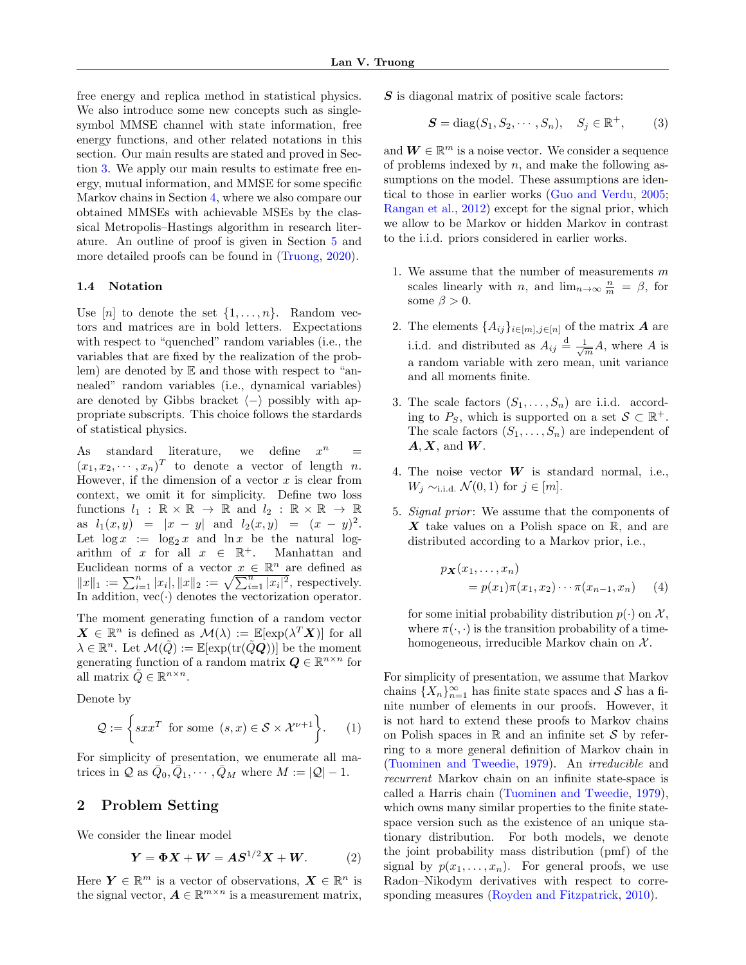free energy and replica method in statistical physics. We also introduce some new concepts such as singlesymbol MMSE channel with state information, free energy functions, and other related notations in this section. Our main results are stated and proved in Section [3.](#page-4-0) We apply our main results to estimate free energy, mutual information, and MMSE for some specific Markov chains in Section [4,](#page-5-2) where we also compare our obtained MMSEs with achievable MSEs by the classical Metropolis–Hastings algorithm in research literature. An outline of proof is given in Section [5](#page-6-0) and more detailed proofs can be found in [\(Truong,](#page-9-14) [2020\)](#page-9-14).

### <span id="page-2-4"></span>1.4 Notation

Use  $[n]$  to denote the set  $\{1, \ldots, n\}$ . Random vectors and matrices are in bold letters. Expectations with respect to "quenched" random variables (i.e., the variables that are fixed by the realization of the problem) are denoted by E and those with respect to "annealed" random variables (i.e., dynamical variables) are denoted by Gibbs bracket  $\langle - \rangle$  possibly with appropriate subscripts. This choice follows the stardards of statistical physics.

As standard literature, we define  $x^n$  $=$  $(x_1, x_2, \dots, x_n)^T$  to denote a vector of length n. However, if the dimension of a vector  $x$  is clear from context, we omit it for simplicity. Define two loss functions  $l_1 : \mathbb{R} \times \mathbb{R} \to \mathbb{R}$  and  $l_2 : \mathbb{R} \times \mathbb{R} \to \mathbb{R}$ as  $l_1(x, y) = |x - y|$  and  $l_2(x, y) = (x - y)^2$ . Let  $\log x := \log_2 x$  and  $\ln x$  be the natural logarithm of x for all  $x \in \mathbb{R}^+$ . Manhattan and Euclidean norms of a vector  $x \in \mathbb{R}^n$  are defined as  $||x||_1 := \sum_{i=1}^n |x_i|, ||x||_2 := \sqrt{\sum_{i=1}^n |x_i|^2}$ , respectively. In addition,  $vec(\cdot)$  denotes the vectorization operator.

The moment generating function of a random vector  $\mathbf{X} \in \mathbb{R}^n$  is defined as  $\mathcal{M}(\lambda) := \mathbb{E}[\exp(\lambda^T \mathbf{X})]$  for all  $\lambda \in \mathbb{R}^n$ . Let  $\mathcal{M}(\tilde{Q}) := \mathbb{E}[\exp(\text{tr}(\tilde{Q}\tilde{Q}))]$  be the moment generating function of a random matrix  $\mathbf{Q} \in \mathbb{R}^{n \times n}$  for all matrix  $\tilde{Q} \in \mathbb{R}^{n \times n}$ .

Denote by

$$
\mathcal{Q} := \left\{ sxx^T \text{ for some } (s, x) \in \mathcal{S} \times \mathcal{X}^{\nu+1} \right\}. \tag{1}
$$

For simplicity of presentation, we enumerate all matrices in  $\mathcal Q$  as  $\bar{Q}_0, \bar{Q}_1, \cdots, \bar{Q}_M$  where  $M := |\mathcal Q| - 1$ .

### <span id="page-2-0"></span>2 Problem Setting

We consider the linear model

$$
Y = \Phi X + W = AS^{1/2}X + W.
$$
 (2)

Here  $\boldsymbol{Y} \in \mathbb{R}^m$  is a vector of observations,  $\boldsymbol{X} \in \mathbb{R}^n$  is the signal vector,  $A \in \mathbb{R}^{m \times n}$  is a measurement matrix, S is diagonal matrix of positive scale factors:

$$
\mathbf{S} = \text{diag}(S_1, S_2, \cdots, S_n), \quad S_j \in \mathbb{R}^+, \tag{3}
$$

and  $W \in \mathbb{R}^m$  is a noise vector. We consider a sequence of problems indexed by  $n$ , and make the following assumptions on the model. These assumptions are identical to those in earlier works [\(Guo and Verdu,](#page-8-10) [2005;](#page-8-10) [Rangan et al.,](#page-9-2) [2012\)](#page-9-2) except for the signal prior, which we allow to be Markov or hidden Markov in contrast to the i.i.d. priors considered in earlier works.

- 1. We assume that the number of measurements  $m$ scales linearly with *n*, and  $\lim_{n\to\infty} \frac{n}{m} = \beta$ , for some  $\beta > 0$ .
- 2. The elements  $\{A_{ij}\}_{i\in[m],j\in[n]}$  of the matrix **A** are i.i.d. and distributed as  $A_{ij} \stackrel{\text{d}}{=} \frac{1}{\sqrt{m}} A$ , where A is a random variable with zero mean, unit variance and all moments finite.
- 3. The scale factors  $(S_1, \ldots, S_n)$  are i.i.d. according to  $P_S$ , which is supported on a set  $S \subset \mathbb{R}^+$ . The scale factors  $(S_1, \ldots, S_n)$  are independent of  $A, X$ , and  $W$ .
- 4. The noise vector  $W$  is standard normal, i.e.,  $W_j \sim_{i.i.d.} \mathcal{N}(0,1)$  for  $j \in [m]$ .
- 5. Signal prior: We assume that the components of X take values on a Polish space on  $\mathbb{R}$ , and are distributed according to a Markov prior, i.e.,

<span id="page-2-2"></span>
$$
p_{\mathbf{X}}(x_1,\ldots,x_n)
$$
  
=  $p(x_1)\pi(x_1,x_2)\cdots\pi(x_{n-1},x_n)$  (4)

for some initial probability distribution  $p(\cdot)$  on X, where  $\pi(\cdot, \cdot)$  is the transition probability of a timehomogeneous, irreducible Markov chain on  $\mathcal{X}$ .

<span id="page-2-3"></span><span id="page-2-1"></span>For simplicity of presentation, we assume that Markov chains  ${X_n}_{n=1}^{\infty}$  has finite state spaces and S has a finite number of elements in our proofs. However, it is not hard to extend these proofs to Markov chains on Polish spaces in  $\mathbb R$  and an infinite set S by referring to a more general definition of Markov chain in [\(Tuominen and Tweedie,](#page-9-15) [1979\)](#page-9-15). An irreducible and recurrent Markov chain on an infinite state-space is called a Harris chain [\(Tuominen and Tweedie,](#page-9-15) [1979\)](#page-9-15), which owns many similar properties to the finite statespace version such as the existence of an unique stationary distribution. For both models, we denote the joint probability mass distribution (pmf) of the signal by  $p(x_1, \ldots, x_n)$ . For general proofs, we use Radon–Nikodym derivatives with respect to corresponding measures [\(Royden and Fitzpatrick,](#page-9-16) [2010\)](#page-9-16).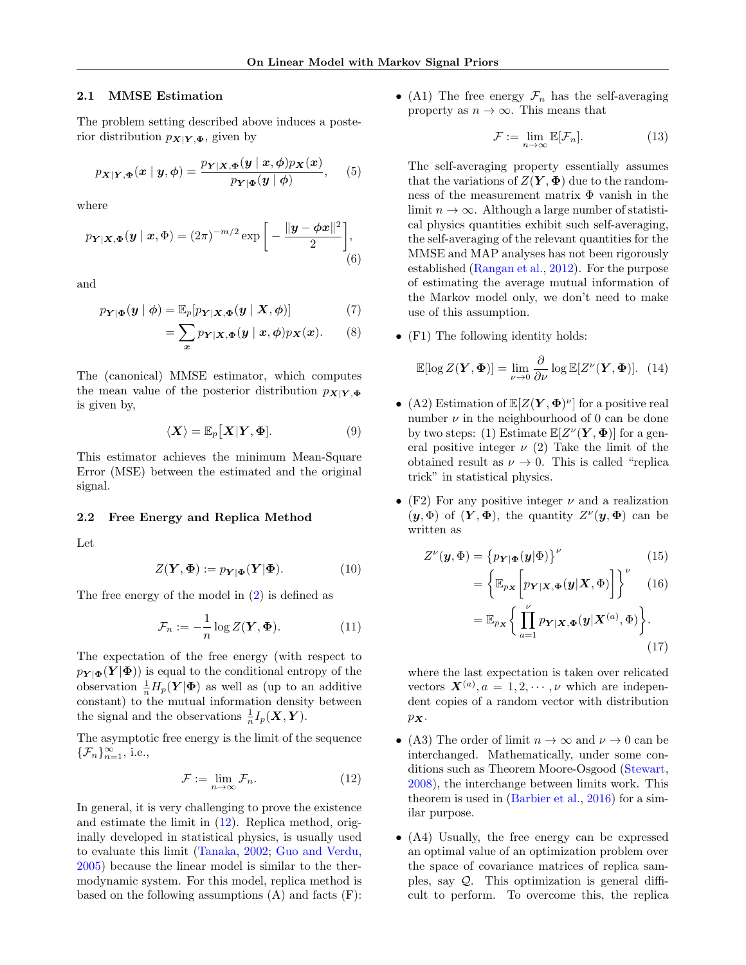### <span id="page-3-3"></span>2.1 MMSE Estimation

The problem setting described above induces a posterior distribution  $p_{\mathbf{X}|\mathbf{Y},\mathbf{\Phi}}$ , given by

<span id="page-3-2"></span>
$$
p_{\boldsymbol{X}|\boldsymbol{Y},\boldsymbol{\Phi}}(\boldsymbol{x} \mid \boldsymbol{y}, \boldsymbol{\phi}) = \frac{p_{\boldsymbol{Y}|\boldsymbol{X},\boldsymbol{\Phi}}(\boldsymbol{y} \mid \boldsymbol{x}, \boldsymbol{\phi})p_{\boldsymbol{X}}(\boldsymbol{x})}{p_{\boldsymbol{Y}|\boldsymbol{\Phi}}(\boldsymbol{y} \mid \boldsymbol{\phi})},\qquad(5)
$$

where

$$
p_{\boldsymbol{Y}|\boldsymbol{X},\boldsymbol{\Phi}}(\boldsymbol{y} \mid \boldsymbol{x},\boldsymbol{\Phi}) = (2\pi)^{-m/2} \exp\bigg[-\frac{\|\boldsymbol{y} - \boldsymbol{\phi}\boldsymbol{x}\|^2}{2}\bigg],\tag{6}
$$

and

$$
p_{\mathbf{Y}|\mathbf{\Phi}}(\mathbf{y} \mid \boldsymbol{\phi}) = \mathbb{E}_p[p_{\mathbf{Y}|\mathbf{X},\mathbf{\Phi}}(\mathbf{y} \mid \mathbf{X}, \boldsymbol{\phi})] \tag{7}
$$

$$
= \sum_{x} p_{Y|X,\Phi}(y \mid x,\phi) p_X(x). \qquad (8)
$$

The (canonical) MMSE estimator, which computes the mean value of the posterior distribution  $p_{\mathbf{X}|\mathbf{Y},\Phi}$ is given by,

$$
\langle X \rangle = \mathbb{E}_p[X|Y, \Phi]. \tag{9}
$$

This estimator achieves the minimum Mean-Square Error (MSE) between the estimated and the original signal.

#### 2.2 Free Energy and Replica Method

Let

$$
Z(\mathbf{Y}, \mathbf{\Phi}) := p_{\mathbf{Y}|\mathbf{\Phi}}(\mathbf{Y}|\mathbf{\Phi}). \tag{10}
$$

The free energy of the model in [\(2\)](#page-2-1) is defined as

$$
\mathcal{F}_n := -\frac{1}{n} \log Z(\mathbf{Y}, \mathbf{\Phi}). \tag{11}
$$

The expectation of the free energy (with respect to  $p_{\mathbf{Y} | \mathbf{\Phi}}(\mathbf{Y} | \mathbf{\Phi})$  is equal to the conditional entropy of the observation  $\frac{1}{n}H_p(\boldsymbol{Y}|\boldsymbol{\Phi})$  as well as (up to an additive constant) to the mutual information density between the signal and the observations  $\frac{1}{n}I_p(\boldsymbol{X},\boldsymbol{Y}).$ 

The asymptotic free energy is the limit of the sequence  $\{\mathcal{F}_n\}_{n=1}^{\infty}$ , i.e.,

$$
\mathcal{F} := \lim_{n \to \infty} \mathcal{F}_n. \tag{12}
$$

In general, it is very challenging to prove the existence and estimate the limit in [\(12\)](#page-3-0). Replica method, originally developed in statistical physics, is usually used to evaluate this limit [\(Tanaka,](#page-9-0) [2002;](#page-9-0) [Guo and Verdu,](#page-8-10) [2005\)](#page-8-10) because the linear model is similar to the thermodynamic system. For this model, replica method is based on the following assumptions  $(A)$  and facts  $(F)$ : • (A1) The free energy  $\mathcal{F}_n$  has the self-averaging property as  $n \to \infty$ . This means that

$$
\mathcal{F} := \lim_{n \to \infty} \mathbb{E}[\mathcal{F}_n]. \tag{13}
$$

The self-averaging property essentially assumes that the variations of  $Z(Y, \Phi)$  due to the randomness of the measurement matrix  $\Phi$  vanish in the limit  $n \to \infty$ . Although a large number of statistical physics quantities exhibit such self-averaging, the self-averaging of the relevant quantities for the MMSE and MAP analyses has not been rigorously established [\(Rangan et al.,](#page-9-2) [2012\)](#page-9-2). For the purpose of estimating the average mutual information of the Markov model only, we don't need to make use of this assumption.

• (F1) The following identity holds:

$$
\mathbb{E}[\log Z(\boldsymbol{Y}, \boldsymbol{\Phi})] = \lim_{\nu \to 0} \frac{\partial}{\partial \nu} \log \mathbb{E}[Z^{\nu}(\boldsymbol{Y}, \boldsymbol{\Phi})]. \tag{14}
$$

- <span id="page-3-1"></span>• (A2) Estimation of  $\mathbb{E}[Z(Y, \Phi)^{\nu}]$  for a positive real number  $\nu$  in the neighbourhood of 0 can be done by two steps: (1) Estimate  $\mathbb{E}[Z^{\nu}(\mathbf{Y}, \mathbf{\Phi})]$  for a general positive integer  $\nu$  (2) Take the limit of the obtained result as  $\nu \to 0$ . This is called "replica trick" in statistical physics.
- (F2) For any positive integer  $\nu$  and a realization  $(y, \Phi)$  of  $(Y, \Phi)$ , the quantity  $Z^{\nu}(y, \Phi)$  can be written as

$$
Z^{\nu}(\boldsymbol{y},\boldsymbol{\Phi}) = \left\{ p_{\boldsymbol{Y}|\boldsymbol{\Phi}}(\boldsymbol{y}|\boldsymbol{\Phi}) \right\}^{\nu} \tag{15}
$$

$$
= \left\{ \mathbb{E}_{p_{\boldsymbol{X}}} \left[ p_{\boldsymbol{Y}|\boldsymbol{X},\boldsymbol{\Phi}}(\boldsymbol{y}|\boldsymbol{X},\boldsymbol{\Phi}) \right] \right\}^{\nu} \quad (16)
$$

$$
= \mathbb{E}_{p_{\boldsymbol{X}}} \left\{ \prod_{a=1}^{\nu} p_{\boldsymbol{Y}|\boldsymbol{X},\boldsymbol{\Phi}}(\boldsymbol{y}|\boldsymbol{X}^{(a)},\boldsymbol{\Phi}) \right\} . \tag{17}
$$

where the last expectation is taken over relicated vectors  $\mathbf{X}^{(a)}$ ,  $a = 1, 2, \cdots, \nu$  which are independent copies of a random vector with distribution  $p_{\boldsymbol{X}}$ .

- <span id="page-3-0"></span>• (A3) The order of limit  $n \to \infty$  and  $\nu \to 0$  can be interchanged. Mathematically, under some conditions such as Theorem Moore-Osgood [\(Stewart,](#page-9-17) [2008\)](#page-9-17), the interchange between limits work. This theorem is used in [\(Barbier et al.,](#page-8-19) [2016\)](#page-8-19) for a similar purpose.
- (A4) Usually, the free energy can be expressed an optimal value of an optimization problem over the space of covariance matrices of replica samples, say  $Q$ . This optimization is general difficult to perform. To overcome this, the replica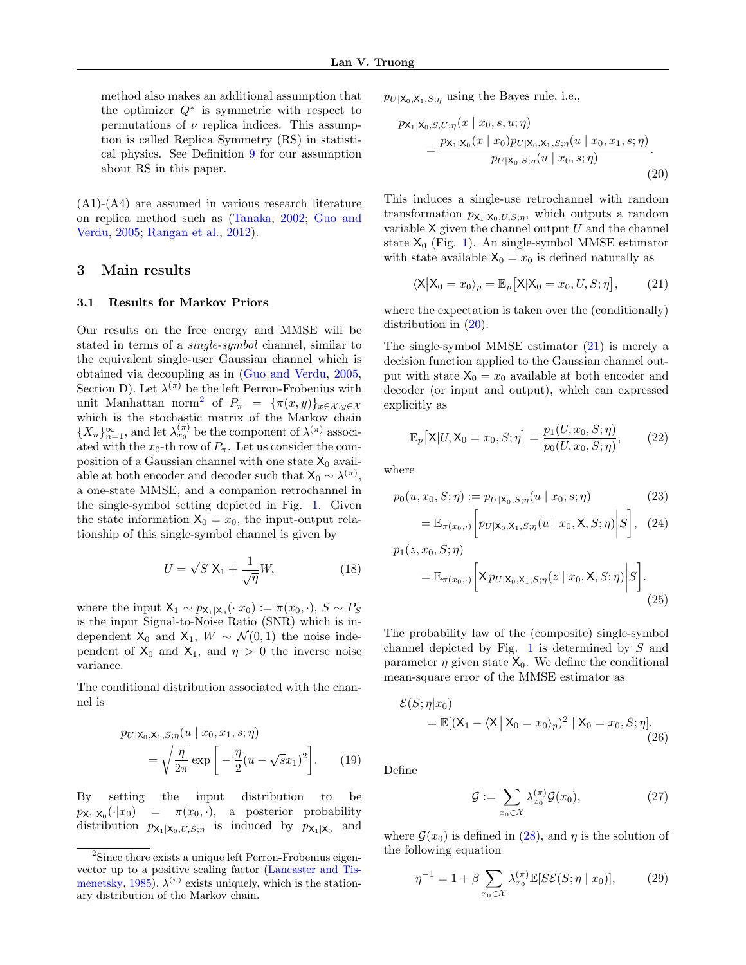method also makes an additional assumption that the optimizer  $Q^*$  is symmetric with respect to permutations of  $\nu$  replica indices. This assumption is called Replica Symmetry (RS) in statistical physics. See Definition [9](#page-12-0) for our assumption about RS in this paper.

(A1)-(A4) are assumed in various research literature on replica method such as [\(Tanaka,](#page-9-0) [2002;](#page-9-0) [Guo and](#page-8-10) [Verdu,](#page-8-10) [2005;](#page-8-10) [Rangan et al.,](#page-9-2) [2012\)](#page-9-2).

### <span id="page-4-0"></span>3 Main results

### <span id="page-4-5"></span>3.1 Results for Markov Priors

Our results on the free energy and MMSE will be stated in terms of a single-symbol channel, similar to the equivalent single-user Gaussian channel which is obtained via decoupling as in [\(Guo and Verdu,](#page-8-10) [2005,](#page-8-10) Section D). Let  $\lambda^{(\pi)}$  be the left Perron-Frobenius with unit Manhattan norm<sup>[2](#page-4-1)</sup> of  $P_{\pi} = {\pi(x,y)}_{x \in \mathcal{X}, y \in \mathcal{X}}$ which is the stochastic matrix of the Markov chain  $\{X_n\}_{n=1}^{\infty}$ , and let  $\lambda_{x_0}^{(\pi)}$  be the component of  $\lambda^{(\pi)}$  associated with the  $x_0$ -th row of  $P_\pi$ . Let us consider the composition of a Gaussian channel with one state  $X_0$  available at both encoder and decoder such that  $X_0 \sim \lambda^{(\pi)}$ , a one-state MMSE, and a companion retrochannel in the single-symbol setting depicted in Fig. [1.](#page-5-3) Given the state information  $X_0 = x_0$ , the input-output relationship of this single-symbol channel is given by

$$
U = \sqrt{S} \mathbf{X}_1 + \frac{1}{\sqrt{\eta}} W, \tag{18}
$$

where the input  $X_1 \sim p_{X_1|X_0}(\cdot|x_0) := \pi(x_0, \cdot), S \sim P_S$ is the input Signal-to-Noise Ratio (SNR) which is independent  $X_0$  and  $X_1$ ,  $W \sim \mathcal{N}(0, 1)$  the noise independent of  $X_0$  and  $X_1$ , and  $\eta > 0$  the inverse noise variance.

The conditional distribution associated with the channel is

$$
\mathcal{P}U|\mathbf{X}_0, \mathbf{X}_1, S; \eta(u \mid x_0, x_1, s; \eta) = \sqrt{\frac{\eta}{2\pi}} \exp\left[-\frac{\eta}{2}(u - \sqrt{s}x_1)^2\right].
$$
 (19)

By setting the input distribution to be  $p_{\mathsf{X}_1|\mathsf{X}_0}(\cdot|x_0)$  $= \pi(x_0, \cdot),$  a posterior probability distribution  $p_{\mathsf{X}_1|\mathsf{X}_0,U,S;\eta}$  is induced by  $p_{\mathsf{X}_1|\mathsf{X}_0}$  and

 $p_{U|X_0,X_1,S;\eta}$  using the Bayes rule, i.e.,

<span id="page-4-2"></span>
$$
p_{\mathsf{X}_1|\mathsf{X}_0, S, U; \eta}(x \mid x_0, s, u; \eta)
$$
  
= 
$$
\frac{p_{\mathsf{X}_1|\mathsf{X}_0}(x \mid x_0)p_{U|\mathsf{X}_0, \mathsf{X}_1, S; \eta}(u \mid x_0, x_1, s; \eta)}{p_{U|\mathsf{X}_0, S; \eta}(u \mid x_0, s; \eta)}.
$$
 (20)

This induces a single-use retrochannel with random transformation  $p_{\mathsf{X}_1|\mathsf{X}_0,U,S;\eta}$ , which outputs a random variable  $X$  given the channel output  $U$  and the channel state  $X_0$  (Fig. [1\)](#page-5-3). An single-symbol MMSE estimator with state available  $X_0 = x_0$  is defined naturally as

<span id="page-4-3"></span>
$$
\langle X | X_0 = x_0 \rangle_p = \mathbb{E}_p \big[ X | X_0 = x_0, U, S; \eta \big], \qquad (21)
$$

where the expectation is taken over the (conditionally) distribution in [\(20\)](#page-4-2).

The single-symbol MMSE estimator  $(21)$  is merely a decision function applied to the Gaussian channel output with state  $X_0 = x_0$  available at both encoder and decoder (or input and output), which can expressed explicitly as

$$
\mathbb{E}_p[\mathsf{X}|U,\mathsf{X}_0=x_0,S;\eta] = \frac{p_1(U,x_0,S;\eta)}{p_0(U,x_0,S;\eta)},\qquad(22)
$$

where

$$
p_0(u, x_0, S; \eta) := p_{U|\mathsf{X}_0, S; \eta}(u \mid x_0, s; \eta)
$$
\n(23)

$$
= \mathbb{E}_{\pi(x_0,\cdot)} \left[ p_{U|X_0,X_1,S;\eta}(u \mid x_0,\mathsf{X},S;\eta) \bigg| S \right], \quad (24)
$$

$$
p_1(z, x_0, S; \eta)
$$
  
= 
$$
\mathbb{E}_{\pi(x_0, \cdot)} \bigg[ \mathsf{X} \, p_{U|X_0, X_1, S; \eta}(z \mid x_0, \mathsf{X}, S; \eta) \bigg| S \bigg].
$$
 (25)

The probability law of the (composite) single-symbol channel depicted by Fig.  $1$  is determined by  $S$  and parameter  $\eta$  given state  $X_0$ . We define the conditional mean-square error of the MMSE estimator as

$$
\mathcal{E}(S;\eta|x_0)
$$
  
=  $\mathbb{E}[(X_1 - \langle X | X_0 = x_0 \rangle_p)^2 | X_0 = x_0, S; \eta].$  (26)

Define

<span id="page-4-4"></span>
$$
\mathcal{G} := \sum_{x_0 \in \mathcal{X}} \lambda_{x_0}^{(\pi)} \mathcal{G}(x_0),\tag{27}
$$

where  $\mathcal{G}(x_0)$  is defined in [\(28\)](#page-5-4), and  $\eta$  is the solution of the following equation

$$
\eta^{-1} = 1 + \beta \sum_{x_0 \in \mathcal{X}} \lambda_{x_0}^{(\pi)} \mathbb{E}[\mathcal{SE}(S; \eta \mid x_0)],\tag{29}
$$

<span id="page-4-1"></span><sup>2</sup>Since there exists a unique left Perron-Frobenius eigenvector up to a positive scaling factor [\(Lancaster and Tis](#page-9-13)[menetsky,](#page-9-13) [1985\)](#page-9-13),  $\lambda^{(\pi)}$  exists uniquely, which is the stationary distribution of the Markov chain.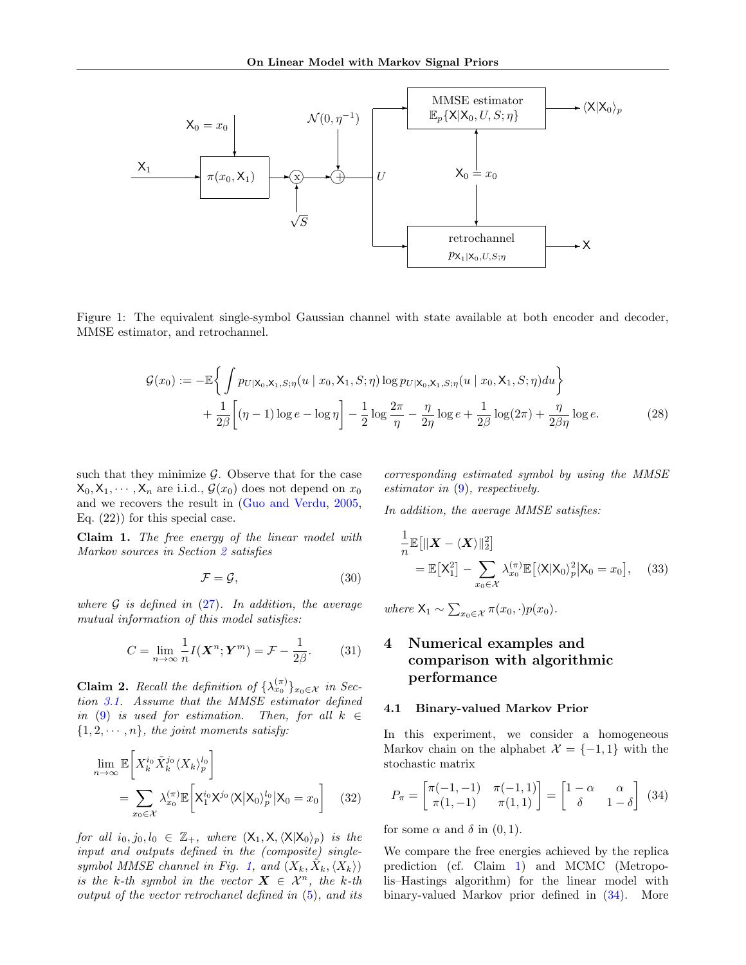

<span id="page-5-3"></span>Figure 1: The equivalent single-symbol Gaussian channel with state available at both encoder and decoder, MMSE estimator, and retrochannel.

$$
\mathcal{G}(x_0) := -\mathbb{E}\left\{ \int p_{U|X_0,X_1,S;\eta}(u \mid x_0, X_1, S; \eta) \log p_{U|X_0,X_1,S;\eta}(u \mid x_0, X_1, S; \eta) du \right\} + \frac{1}{2\beta} \left[ (\eta - 1) \log e - \log \eta \right] - \frac{1}{2} \log \frac{2\pi}{\eta} - \frac{\eta}{2\eta} \log e + \frac{1}{2\beta} \log(2\pi) + \frac{\eta}{2\beta\eta} \log e.
$$
 (28)

such that they minimize  $\mathcal{G}$ . Observe that for the case  $X_0, X_1, \dots, X_n$  are i.i.d.,  $\mathcal{G}(x_0)$  does not depend on  $x_0$ and we recovers the result in [\(Guo and Verdu,](#page-8-10) [2005,](#page-8-10) Eq. (22)) for this special case.

<span id="page-5-0"></span>Claim 1. The free energy of the linear model with Markov sources in Section [2](#page-2-0) satisfies

$$
\mathcal{F} = \mathcal{G},\tag{30}
$$

where  $\mathcal G$  is defined in [\(27\)](#page-4-4). In addition, the average mutual information of this model satisfies:

$$
C = \lim_{n \to \infty} \frac{1}{n} I(\mathbf{X}^n; \mathbf{Y}^m) = \mathcal{F} - \frac{1}{2\beta}.
$$
 (31)

<span id="page-5-1"></span>**Claim 2.** Recall the definition of  $\{\lambda_{x_0}^{(\pi)}\}_{x_0 \in \mathcal{X}}$  in Section [3.1.](#page-4-5) Assume that the MMSE estimator defined in [\(9\)](#page-3-1) is used for estimation. Then, for all  $k \in$  $\{1, 2, \dots, n\}$ , the joint moments satisfy:

$$
\lim_{n \to \infty} \mathbb{E}\bigg[X_k^{i_0} \tilde{X}_k^{j_0} \langle X_k \rangle_p^{l_0}\bigg]
$$
\n
$$
= \sum_{x_0 \in \mathcal{X}} \lambda_{x_0}^{(\pi)} \mathbb{E}\bigg[X_1^{i_0} X^{j_0} \langle X | X_0 \rangle_p^{l_0} | X_0 = x_0\bigg] \quad (32)
$$

for all  $i_0, j_0, l_0 \in \mathbb{Z}_+$ , where  $(X_1, X, \langle X|X_0\rangle_p)$  is the input and outputs defined in the (composite) single-symbol MMSE channel in Fig. [1,](#page-5-3) and  $(X_k, \tilde{X}_k, \langle X_k \rangle)$ is the k-th symbol in the vector  $\mathbf{X} \in \mathcal{X}^n$ , the k-th output of the vector retrochanel defined in [\(5\)](#page-3-2), and its <span id="page-5-4"></span>corresponding estimated symbol by using the MMSE estimator in  $(9)$ , respectively.

In addition, the average MMSE satisfies:

$$
\frac{1}{n}\mathbb{E}\left[\|\boldsymbol{X} - \langle \boldsymbol{X} \rangle\|_{2}^{2}\right] \n= \mathbb{E}\left[\mathsf{X}_{1}^{2}\right] - \sum_{x_{0} \in \mathcal{X}} \lambda_{x_{0}}^{(\pi)}\mathbb{E}\left[\langle \mathsf{X}|\mathsf{X}_{0}\rangle_{p}^{2}|\mathsf{X}_{0} = x_{0}\right], \quad (33)
$$

where  $X_1 \sim \sum_{x_0 \in \mathcal{X}} \pi(x_0, \cdot) p(x_0)$ .

## <span id="page-5-2"></span>4 Numerical examples and comparison with algorithmic performance

### <span id="page-5-6"></span>4.1 Binary-valued Markov Prior

In this experiment, we consider a homogeneous Markov chain on the alphabet  $\mathcal{X} = \{-1, 1\}$  with the stochastic matrix

<span id="page-5-5"></span>
$$
P_{\pi} = \begin{bmatrix} \pi(-1, -1) & \pi(-1, 1) \\ \pi(1, -1) & \pi(1, 1) \end{bmatrix} = \begin{bmatrix} 1 - \alpha & \alpha \\ \delta & 1 - \delta \end{bmatrix}
$$
 (34)

for some  $\alpha$  and  $\delta$  in  $(0, 1)$ .

We compare the free energies achieved by the replica prediction (cf. Claim [1\)](#page-5-0) and MCMC (Metropolis–Hastings algorithm) for the linear model with binary-valued Markov prior defined in [\(34\)](#page-5-5). More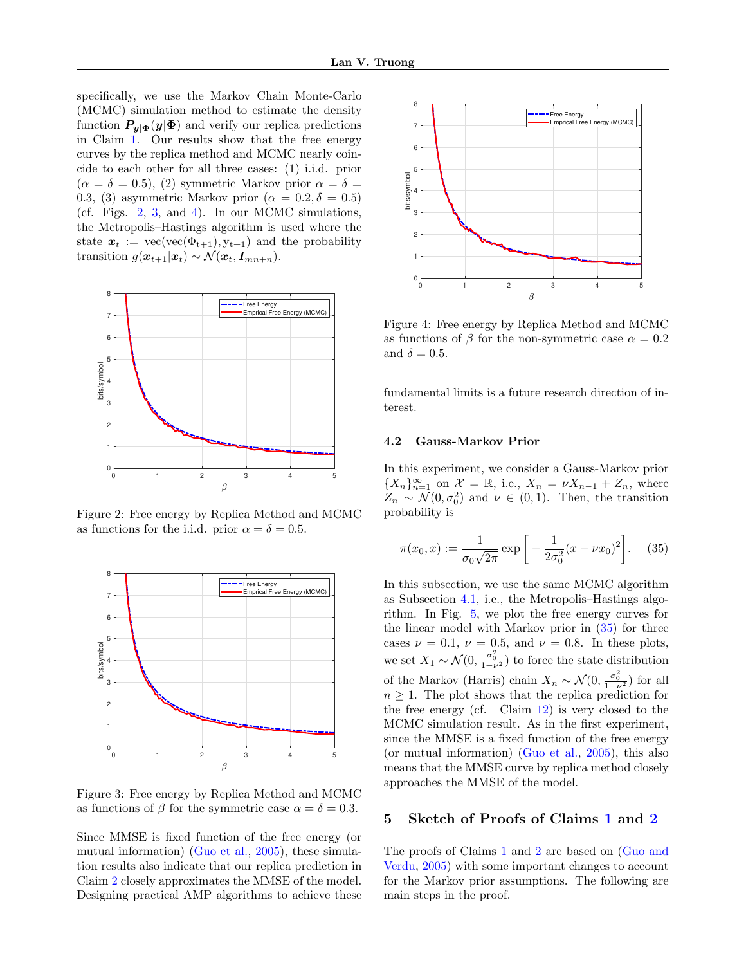specifically, we use the Markov Chain Monte-Carlo (MCMC) simulation method to estimate the density function  $P_{y|\Phi}(y|\Phi)$  and verify our replica predictions in Claim [1.](#page-5-0) Our results show that the free energy curves by the replica method and MCMC nearly coincide to each other for all three cases: (1) i.i.d. prior  $(\alpha = \delta = 0.5), (2)$  symmetric Markov prior  $\alpha = \delta =$ 0.3, (3) asymmetric Markov prior ( $\alpha = 0.2, \delta = 0.5$ ) (cf. Figs. [2,](#page-6-1) [3,](#page-6-2) and [4\)](#page-6-3). In our MCMC simulations, the Metropolis–Hastings algorithm is used where the state  $x_t := \text{vec}(\text{vec}(\Phi_{t+1}), y_{t+1})$  and the probability transition  $g(\boldsymbol{x}_{t+1}|\boldsymbol{x}_t) \sim \mathcal{N}(\boldsymbol{x}_t, \boldsymbol{I}_{mn+n}).$ 



<span id="page-6-1"></span>Figure 2: Free energy by Replica Method and MCMC as functions for the i.i.d. prior  $\alpha = \delta = 0.5$ .



<span id="page-6-2"></span>Figure 3: Free energy by Replica Method and MCMC as functions of  $\beta$  for the symmetric case  $\alpha = \delta = 0.3$ .

Since MMSE is fixed function of the free energy (or mutual information) [\(Guo et al.,](#page-8-2) [2005\)](#page-8-2), these simulation results also indicate that our replica prediction in Claim [2](#page-5-1) closely approximates the MMSE of the model. Designing practical AMP algorithms to achieve these



<span id="page-6-3"></span>Figure 4: Free energy by Replica Method and MCMC as functions of  $\beta$  for the non-symmetric case  $\alpha = 0.2$ and  $\delta = 0.5$ .

fundamental limits is a future research direction of interest.

### 4.2 Gauss-Markov Prior

In this experiment, we consider a Gauss-Markov prior  ${X_n}_{n=1}^{\infty}$  on  $\mathcal{X} = \mathbb{R}$ , i.e.,  $X_n = \nu X_{n-1} + Z_n$ , where  $Z_n \sim \mathcal{N}(0, \sigma_0^2)$  and  $\nu \in (0, 1)$ . Then, the transition probability is

<span id="page-6-4"></span>
$$
\pi(x_0, x) := \frac{1}{\sigma_0 \sqrt{2\pi}} \exp\left[-\frac{1}{2\sigma_0^2} (x - \nu x_0)^2\right].
$$
 (35)

In this subsection, we use the same MCMC algorithm as Subsection [4.1,](#page-5-6) i.e., the Metropolis–Hastings algorithm. In Fig. [5,](#page-7-0) we plot the free energy curves for the linear model with Markov prior in [\(35\)](#page-6-4) for three cases  $\nu = 0.1$ ,  $\nu = 0.5$ , and  $\nu = 0.8$ . In these plots, we set  $X_1 \sim \mathcal{N}(0, \frac{\sigma_0^2}{1-\nu^2})$  to force the state distribution of the Markov (Harris) chain  $X_n \sim \mathcal{N}(0, \frac{\sigma_0^2}{1-\nu^2})$  for all  $n \geq 1$ . The plot shows that the replica prediction for the free energy (cf. Claim [12\)](#page-13-0) is very closed to the MCMC simulation result. As in the first experiment, since the MMSE is a fixed function of the free energy (or mutual information) [\(Guo et al.,](#page-8-2) [2005\)](#page-8-2), this also means that the MMSE curve by replica method closely approaches the MMSE of the model.

### <span id="page-6-0"></span>5 Sketch of Proofs of Claims [1](#page-5-0) and [2](#page-5-1)

The proofs of Claims [1](#page-5-0) and [2](#page-5-1) are based on [\(Guo and](#page-8-10) [Verdu,](#page-8-10) [2005\)](#page-8-10) with some important changes to account for the Markov prior assumptions. The following are main steps in the proof.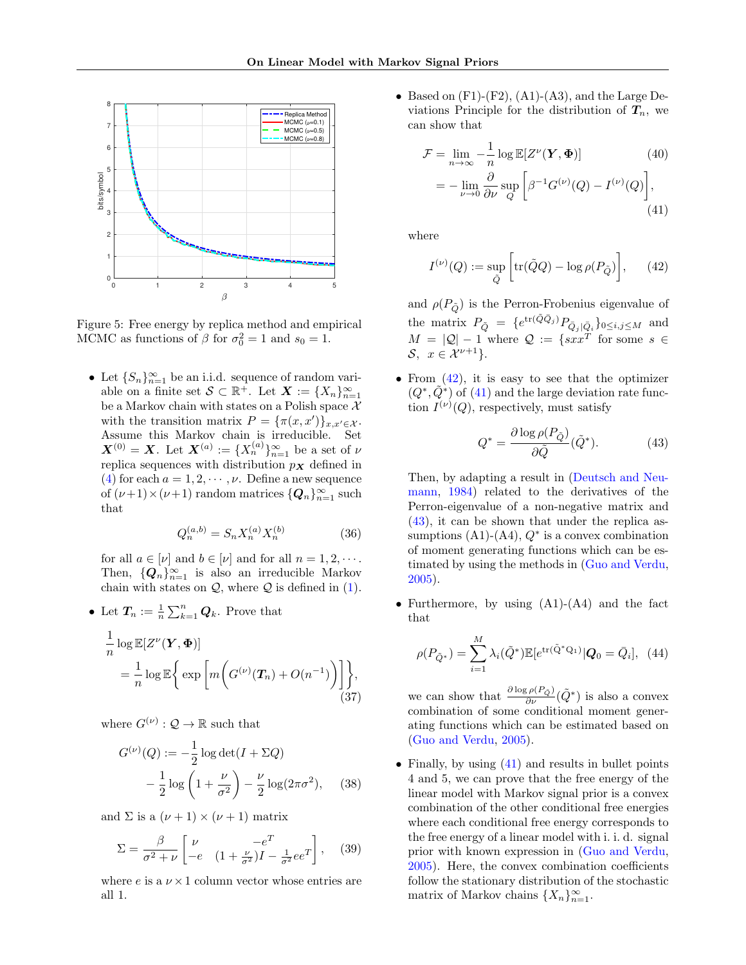

<span id="page-7-0"></span>Figure 5: Free energy by replica method and empirical MCMC as functions of  $\beta$  for  $\sigma_0^2 = 1$  and  $s_0 = 1$ .

• Let  $\{S_n\}_{n=1}^{\infty}$  be an i.i.d. sequence of random variable on a finite set  $S \subset \mathbb{R}^+$ . Let  $\mathbf{X} := \{X_n\}_{n=1}^{\infty}$ be a Markov chain with states on a Polish space  $X$ with the transition matrix  $P = {\pi(x, x')}_{x,x'\in\mathcal{X}}$ . Assume this Markov chain is irreducible. Set  $\boldsymbol{X}^{(0)} = \boldsymbol{X}$ . Let  $\boldsymbol{X}^{(a)} := \{X_n^{(a)}\}_{n=1}^{\infty}$  be a set of  $\nu$ replica sequences with distribution  $p<sub>X</sub>$  defined in [\(4\)](#page-2-2) for each  $a = 1, 2, \dots, \nu$ . Define a new sequence of  $(\nu+1) \times (\nu+1)$  random matrices  $\{Q_n\}_{n=1}^{\infty}$  such that

$$
Q_n^{(a,b)} = S_n X_n^{(a)} X_n^{(b)} \tag{36}
$$

for all  $a \in [\nu]$  and  $b \in [\nu]$  and for all  $n = 1, 2, \cdots$ . Then,  ${Q_n}_{n=1}^{\infty}$  is also an irreducible Markov chain with states on  $Q$ , where  $Q$  is defined in  $(1)$ .

• Let  $T_n := \frac{1}{n} \sum_{k=1}^n Q_k$ . Prove that

$$
\frac{1}{n}\log \mathbb{E}[Z^{\nu}(\mathbf{Y}, \boldsymbol{\Phi})]
$$
\n
$$
= \frac{1}{n}\log \mathbb{E}\bigg\{\exp\bigg[m\bigg(G^{(\nu)}(\mathbf{T}_n) + O(n^{-1})\bigg)\bigg]\bigg\},\tag{37}
$$

where  $G^{(\nu)}: \mathcal{Q} \to \mathbb{R}$  such that

$$
G^{(\nu)}(Q) := -\frac{1}{2}\log\det(I + \Sigma Q)
$$

$$
-\frac{1}{2}\log\left(1 + \frac{\nu}{\sigma^2}\right) - \frac{\nu}{2}\log(2\pi\sigma^2), \quad (38)
$$

and  $\Sigma$  is a  $(\nu + 1) \times (\nu + 1)$  matrix

$$
\Sigma = \frac{\beta}{\sigma^2 + \nu} \begin{bmatrix} \nu & -e^T \\ -e & (1 + \frac{\nu}{\sigma^2})I - \frac{1}{\sigma^2}ee^T \end{bmatrix}, \quad (39)
$$

where  $e$  is a  $\nu \times 1$  column vector whose entries are all 1.

• Based on  $(F1)-(F2)$ ,  $(A1)-(A3)$ , and the Large Deviations Principle for the distribution of  $T_n$ , we can show that

$$
\mathcal{F} = \lim_{n \to \infty} -\frac{1}{n} \log \mathbb{E}[Z^{\nu}(\mathbf{Y}, \boldsymbol{\Phi})]
$$
(40)  
= 
$$
-\lim_{\nu \to 0} \frac{\partial}{\partial \nu} \sup_{Q} \left[ \beta^{-1} G^{(\nu)}(Q) - I^{(\nu)}(Q) \right],
$$
(41)

where

<span id="page-7-2"></span><span id="page-7-1"></span>
$$
I^{(\nu)}(Q) := \sup_{\tilde{Q}} \left[ \text{tr}(\tilde{Q}Q) - \log \rho(P_{\tilde{Q}}) \right], \qquad (42)
$$

and  $\rho(P_{\tilde{\Omega}})$  is the Perron-Frobenius eigenvalue of the matrix  $P_{\tilde{Q}} = \{e^{\text{tr}(\tilde{Q}\bar{Q}_j)}P_{\bar{Q}_j|\bar{Q}_i}\}_{0\leq i,j\leq M}$  and  $M = |Q| - 1$  where  $Q := \{sxx^T$  for some  $s \in$  $\mathcal{S}, x \in \mathcal{X}^{\nu+1}$ .

• From  $(42)$ , it is easy to see that the optimizer  $(Q^*, \tilde{Q}^*)$  of [\(41\)](#page-7-2) and the large deviation rate function  $I^{(\nu)}(Q)$ , respectively, must satisfy

<span id="page-7-3"></span>
$$
Q^* = \frac{\partial \log \rho(P_{\tilde{Q}})}{\partial \tilde{Q}}(\tilde{Q}^*). \tag{43}
$$

Then, by adapting a result in [\(Deutsch and Neu](#page-8-20)[mann,](#page-8-20) [1984\)](#page-8-20) related to the derivatives of the Perron-eigenvalue of a non-negative matrix and [\(43\)](#page-7-3), it can be shown that under the replica assumptions  $(A1)-(A4)$ ,  $Q^*$  is a convex combination of moment generating functions which can be estimated by using the methods in [\(Guo and Verdu,](#page-8-10) [2005\)](#page-8-10).

• Furthermore, by using (A1)-(A4) and the fact that

$$
\rho(P_{\tilde{Q}^*}) = \sum_{i=1}^{M} \lambda_i(\tilde{Q}^*) \mathbb{E}[e^{\text{tr}(\tilde{Q}^*Q_1)} | Q_0 = \bar{Q}_i], \tag{44}
$$

we can show that  $\frac{\partial \log \rho(P_{\tilde{Q}})}{\partial \nu}(\tilde{Q}^*)$  is also a convex combination of some conditional moment generating functions which can be estimated based on [\(Guo and Verdu,](#page-8-10) [2005\)](#page-8-10).

• Finally, by using  $(41)$  and results in bullet points 4 and 5, we can prove that the free energy of the linear model with Markov signal prior is a convex combination of the other conditional free energies where each conditional free energy corresponds to the free energy of a linear model with i. i. d. signal prior with known expression in [\(Guo and Verdu,](#page-8-10) [2005\)](#page-8-10). Here, the convex combination coefficients follow the stationary distribution of the stochastic matrix of Markov chains  $\{X_n\}_{n=1}^{\infty}$ .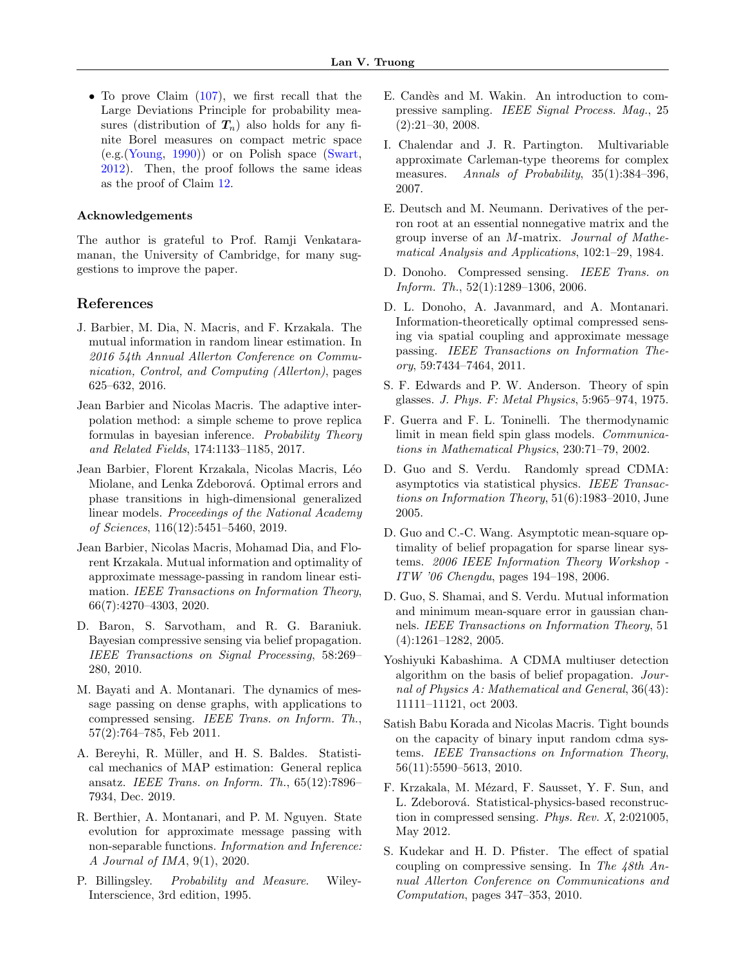• To prove Claim [\(107\)](#page-14-0), we first recall that the Large Deviations Principle for probability measures (distribution of  $T_n$ ) also holds for any finite Borel measures on compact metric space  $(e.g.(\text{Young}, 1990))$  $(e.g.(\text{Young}, 1990))$  $(e.g.(\text{Young}, 1990))$  or on Polish space [\(Swart,](#page-9-19) [2012\)](#page-9-19). Then, the proof follows the same ideas as the proof of Claim [12.](#page-13-0)

### Acknowledgements

The author is grateful to Prof. Ramji Venkataramanan, the University of Cambridge, for many suggestions to improve the paper.

### References

- <span id="page-8-19"></span>J. Barbier, M. Dia, N. Macris, and F. Krzakala. The mutual information in random linear estimation. In 2016 54th Annual Allerton Conference on Communication, Control, and Computing (Allerton), pages 625–632, 2016.
- <span id="page-8-12"></span>Jean Barbier and Nicolas Macris. The adaptive interpolation method: a simple scheme to prove replica formulas in bayesian inference. Probability Theory and Related Fields, 174:1133–1185, 2017.
- <span id="page-8-11"></span>Jean Barbier, Florent Krzakala, Nicolas Macris, L´eo Miolane, and Lenka Zdeborová. Optimal errors and phase transitions in high-dimensional generalized linear models. Proceedings of the National Academy of Sciences, 116(12):5451–5460, 2019.
- <span id="page-8-6"></span>Jean Barbier, Nicolas Macris, Mohamad Dia, and Florent Krzakala. Mutual information and optimality of approximate message-passing in random linear estimation. IEEE Transactions on Information Theory, 66(7):4270–4303, 2020.
- <span id="page-8-4"></span>D. Baron, S. Sarvotham, and R. G. Baraniuk. Bayesian compressive sensing via belief propagation. IEEE Transactions on Signal Processing, 58:269– 280, 2010.
- <span id="page-8-18"></span>M. Bayati and A. Montanari. The dynamics of message passing on dense graphs, with applications to compressed sensing. IEEE Trans. on Inform. Th., 57(2):764–785, Feb 2011.
- <span id="page-8-1"></span>A. Bereyhi, R. Müller, and H. S. Baldes. Statistical mechanics of MAP estimation: General replica ansatz. IEEE Trans. on Inform. Th., 65(12):7896– 7934, Dec. 2019.
- <span id="page-8-14"></span>R. Berthier, A. Montanari, and P. M. Nguyen. State evolution for approximate message passing with non-separable functions. Information and Inference: A Journal of IMA, 9(1), 2020.
- <span id="page-8-22"></span>P. Billingsley. Probability and Measure. Wiley-Interscience, 3rd edition, 1995.
- <span id="page-8-17"></span>E. Candès and M. Wakin. An introduction to compressive sampling. IEEE Signal Process. Mag., 25 (2):21–30, 2008.
- <span id="page-8-21"></span>I. Chalendar and J. R. Partington. Multivariable approximate Carleman-type theorems for complex measures. Annals of Probability, 35(1):384-396, 2007.
- <span id="page-8-20"></span>E. Deutsch and M. Neumann. Derivatives of the perron root at an essential nonnegative matrix and the group inverse of an M-matrix. Journal of Mathematical Analysis and Applications, 102:1–29, 1984.
- <span id="page-8-16"></span>D. Donoho. Compressed sensing. IEEE Trans. on Inform. Th., 52(1):1289–1306, 2006.
- <span id="page-8-9"></span>D. L. Donoho, A. Javanmard, and A. Montanari. Information-theoretically optimal compressed sensing via spatial coupling and approximate message passing. IEEE Transactions on Information Theory, 59:7434–7464, 2011.
- <span id="page-8-0"></span>S. F. Edwards and P. W. Anderson. Theory of spin glasses. J. Phys. F: Metal Physics, 5:965–974, 1975.
- <span id="page-8-13"></span>F. Guerra and F. L. Toninelli. The thermodynamic limit in mean field spin glass models. Communications in Mathematical Physics, 230:71–79, 2002.
- <span id="page-8-10"></span>D. Guo and S. Verdu. Randomly spread CDMA: asymptotics via statistical physics. IEEE Transactions on Information Theory, 51(6):1983–2010, June 2005.
- <span id="page-8-3"></span>D. Guo and C.-C. Wang. Asymptotic mean-square optimality of belief propagation for sparse linear systems. 2006 IEEE Information Theory Workshop - ITW '06 Chengdu, pages 194–198, 2006.
- <span id="page-8-2"></span>D. Guo, S. Shamai, and S. Verdu. Mutual information and minimum mean-square error in gaussian channels. IEEE Transactions on Information Theory, 51 (4):1261–1282, 2005.
- <span id="page-8-15"></span>Yoshiyuki Kabashima. A CDMA multiuser detection algorithm on the basis of belief propagation. Journal of Physics A: Mathematical and General, 36(43): 11111–11121, oct 2003.
- <span id="page-8-5"></span>Satish Babu Korada and Nicolas Macris. Tight bounds on the capacity of binary input random cdma systems. IEEE Transactions on Information Theory, 56(11):5590–5613, 2010.
- <span id="page-8-8"></span>F. Krzakala, M. Mézard, F. Sausset, Y. F. Sun, and L. Zdeborová. Statistical-physics-based reconstruction in compressed sensing. Phys. Rev. X, 2:021005, May 2012.
- <span id="page-8-7"></span>S. Kudekar and H. D. Pfister. The effect of spatial coupling on compressive sensing. In The 48th Annual Allerton Conference on Communications and Computation, pages 347–353, 2010.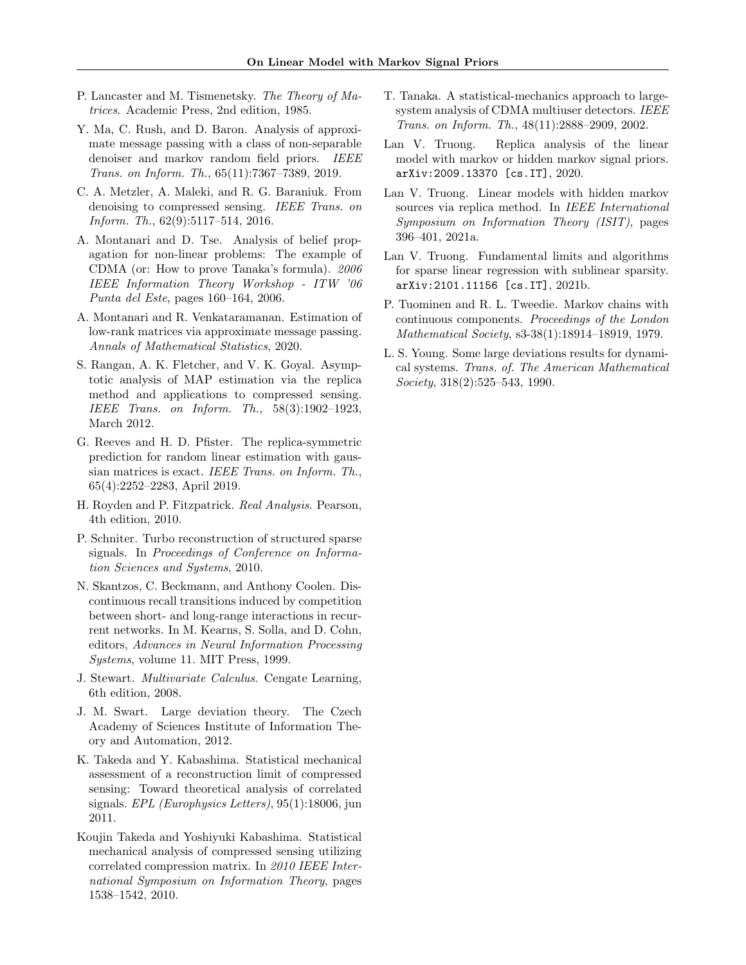- <span id="page-9-13"></span>P. Lancaster and M. Tismenetsky. The Theory of Matrices. Academic Press, 2nd edition, 1985.
- <span id="page-9-9"></span>Y. Ma, C. Rush, and D. Baron. Analysis of approximate message passing with a class of non-separable denoiser and markov random field priors. IEEE Trans. on Inform. Th., 65(11):7367–7389, 2019.
- <span id="page-9-10"></span>C. A. Metzler, A. Maleki, and R. G. Baraniuk. From denoising to compressed sensing. IEEE Trans. on Inform. Th., 62(9):5117–514, 2016.
- <span id="page-9-1"></span>A. Montanari and D. Tse. Analysis of belief propagation for non-linear problems: The example of CDMA (or: How to prove Tanaka's formula). 2006 IEEE Information Theory Workshop - ITW '06 Punta del Este, pages 160–164, 2006.
- <span id="page-9-11"></span>A. Montanari and R. Venkataramanan. Estimation of low-rank matrices via approximate message passing. Annals of Mathematical Statistics, 2020.
- <span id="page-9-2"></span>S. Rangan, A. K. Fletcher, and V. K. Goyal. Asymptotic analysis of MAP estimation via the replica method and applications to compressed sensing. IEEE Trans. on Inform. Th., 58(3):1902–1923, March 2012.
- <span id="page-9-3"></span>G. Reeves and H. D. Pfister. The replica-symmetric prediction for random linear estimation with gaussian matrices is exact. IEEE Trans. on Inform. Th., 65(4):2252–2283, April 2019.
- <span id="page-9-16"></span>H. Royden and P. Fitzpatrick. Real Analysis. Pearson, 4th edition, 2010.
- <span id="page-9-8"></span>P. Schniter. Turbo reconstruction of structured sparse signals. In Proceedings of Conference on Information Sciences and Systems, 2010.
- <span id="page-9-5"></span>N. Skantzos, C. Beckmann, and Anthony Coolen. Discontinuous recall transitions induced by competition between short- and long-range interactions in recurrent networks. In M. Kearns, S. Solla, and D. Cohn, editors, Advances in Neural Information Processing Systems, volume 11. MIT Press, 1999.
- <span id="page-9-17"></span>J. Stewart. Multivariate Calculus. Cengate Learning, 6th edition, 2008.
- <span id="page-9-19"></span>J. M. Swart. Large deviation theory. The Czech Academy of Sciences Institute of Information Theory and Automation, 2012.
- <span id="page-9-6"></span>K. Takeda and Y. Kabashima. Statistical mechanical assessment of a reconstruction limit of compressed sensing: Toward theoretical analysis of correlated signals. EPL (Europhysics Letters), 95(1):18006, jun 2011.
- <span id="page-9-7"></span>Koujin Takeda and Yoshiyuki Kabashima. Statistical mechanical analysis of compressed sensing utilizing correlated compression matrix. In 2010 IEEE International Symposium on Information Theory, pages 1538–1542, 2010.
- <span id="page-9-0"></span>T. Tanaka. A statistical-mechanics approach to largesystem analysis of CDMA multiuser detectors. IEEE Trans. on Inform. Th., 48(11):2888–2909, 2002.
- <span id="page-9-14"></span>Lan V. Truong. Replica analysis of the linear model with markov or hidden markov signal priors. arXiv:2009.13370 [cs.IT], 2020.
- <span id="page-9-12"></span>Lan V. Truong. Linear models with hidden markov sources via replica method. In IEEE International Symposium on Information Theory (ISIT), pages 396–401, 2021a.
- <span id="page-9-4"></span>Lan V. Truong. Fundamental limits and algorithms for sparse linear regression with sublinear sparsity. arXiv:2101.11156 [cs.IT], 2021b.
- <span id="page-9-15"></span>P. Tuominen and R. L. Tweedie. Markov chains with continuous components. Proceedings of the London Mathematical Society, s3-38(1):18914–18919, 1979.
- <span id="page-9-18"></span>L. S. Young. Some large deviations results for dynamical systems. Trans. of. The American Mathematical Society, 318(2):525–543, 1990.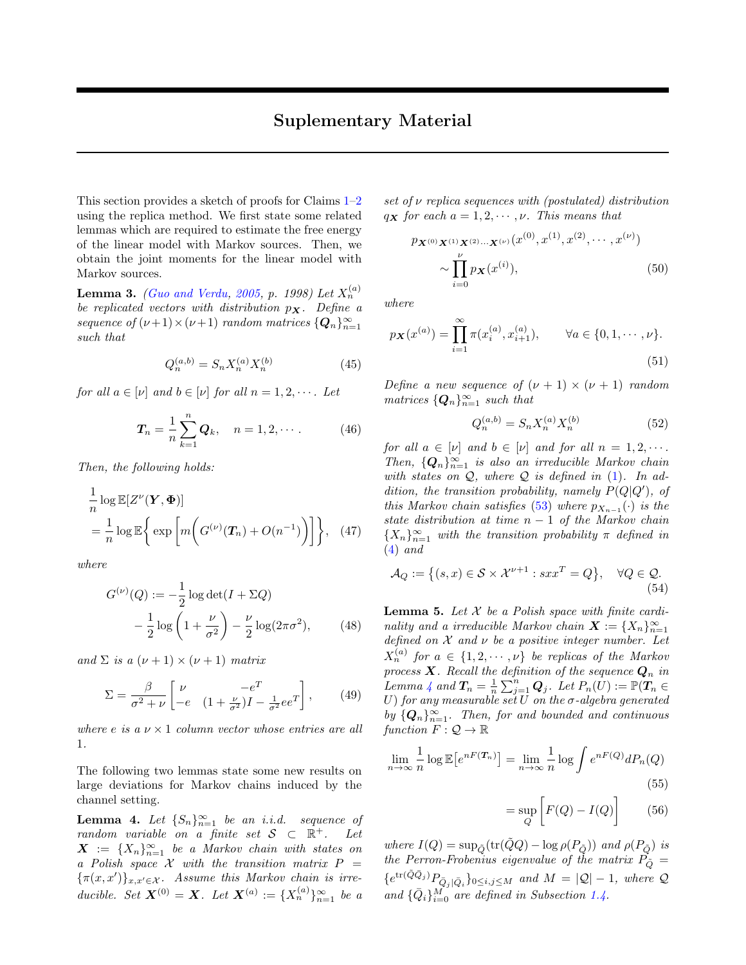This section provides a sketch of proofs for Claims  $1-2$  $1-2$ using the replica method. We first state some related lemmas which are required to estimate the free energy of the linear model with Markov sources. Then, we obtain the joint moments for the linear model with Markov sources.

<span id="page-10-1"></span>**Lemma 3.** [\(Guo and Verdu,](#page-8-10) [2005,](#page-8-10) p. 1998) Let  $X_n^{(a)}$ be replicated vectors with distribution  $p_{\mathbf{X}}$ . Define a sequence of  $(\nu+1) \times (\nu+1)$  random matrices  $\{Q_n\}_{n=1}^{\infty}$ such that

$$
Q_n^{(a,b)} = S_n X_n^{(a)} X_n^{(b)} \tag{45}
$$

for all  $a \in [\nu]$  and  $b \in [\nu]$  for all  $n = 1, 2, \cdots$ . Let

$$
T_n = \frac{1}{n} \sum_{k=1}^n Q_k, \quad n = 1, 2, \cdots.
$$
 (46)

Then, the following holds:

$$
\frac{1}{n}\log \mathbb{E}[Z^{\nu}(\boldsymbol{Y}, \boldsymbol{\Phi})]
$$
\n
$$
= \frac{1}{n}\log \mathbb{E}\bigg\{\exp\bigg[m\bigg(G^{(\nu)}(\boldsymbol{T}_n) + O(n^{-1})\bigg)\bigg]\bigg\}, \quad (47)
$$

where

$$
G^{(\nu)}(Q) := -\frac{1}{2}\log\det(I + \Sigma Q)
$$

$$
-\frac{1}{2}\log\left(1 + \frac{\nu}{\sigma^2}\right) - \frac{\nu}{2}\log(2\pi\sigma^2),\qquad(48)
$$

and  $\Sigma$  is a  $(\nu + 1) \times (\nu + 1)$  matrix

$$
\Sigma = \frac{\beta}{\sigma^2 + \nu} \begin{bmatrix} \nu & -e^T \\ -e & (1 + \frac{\nu}{\sigma^2})I - \frac{1}{\sigma^2}ee^T \end{bmatrix},\qquad(49)
$$

where e is a  $\nu \times 1$  column vector whose entries are all 1.

The following two lemmas state some new results on large deviations for Markov chains induced by the channel setting.

<span id="page-10-0"></span>**Lemma 4.** Let  $\{S_n\}_{n=1}^{\infty}$  be an i.i.d. sequence of random variable on a finite set  $S \subset \mathbb{R}^+$ . Let  $\mathbf{X}$  :=  $\{X_n\}_{n=1}^{\infty}$  be a Markov chain with states on a Polish space  $\mathcal X$  with the transition matrix  $P =$  ${\lbrace \pi(x,x') \rbrace_{x,x' \in \mathcal{X}}}$ . Assume this Markov chain is irreducible. Set  $X^{(0)} = X$ . Let  $X^{(a)} := \{X_n^{(a)}\}_{n=1}^{\infty}$  be a

set of  $\nu$  replica sequences with (postulated) distribution  $q_{\mathbf{X}}$  for each  $a = 1, 2, \cdots, \nu$ . This means that

$$
p_{\mathbf{X}^{(0)}\mathbf{X}^{(1)}\mathbf{X}^{(2)}\cdots\mathbf{X}^{(\nu)}}(x^{(0)},x^{(1)},x^{(2)},\cdots,x^{(\nu)})
$$

$$
\sim \prod_{i=0}^{\nu} p_{\mathbf{X}}(x^{(i)}),
$$
(50)

where

$$
p_{\mathbf{X}}(x^{(a)}) = \prod_{i=1}^{\infty} \pi(x_i^{(a)}, x_{i+1}^{(a)}), \qquad \forall a \in \{0, 1, \cdots, \nu\}.
$$
\n(51)

Define a new sequence of  $(\nu + 1) \times (\nu + 1)$  random matrices  $\{Q_n\}_{n=1}^{\infty}$  such that

$$
Q_n^{(a,b)} = S_n X_n^{(a)} X_n^{(b)} \tag{52}
$$

for all  $a \in [\nu]$  and  $b \in [\nu]$  and for all  $n = 1, 2, \cdots$ . Then,  ${Q_n}_{n=1}^{\infty}$  is also an irreducible Markov chain with states on  $Q$ , where  $Q$  is defined in  $(1)$ . In addition, the transition probability, namely  $P(Q|Q')$ , of this Markov chain satisfies [\(53\)](#page-11-0) where  $p_{X_{n-1}}(\cdot)$  is the state distribution at time  $n - 1$  of the Markov chain  ${X_n}_{n=1}^{\infty}$  with the transition probability  $\pi$  defined in [\(4\)](#page-2-2) and

<span id="page-10-3"></span>
$$
\mathcal{A}_Q := \left\{ (s, x) \in \mathcal{S} \times \mathcal{X}^{\nu+1} : s x x^T = Q \right\}, \quad \forall Q \in \mathcal{Q}.
$$
\n
$$
(54)
$$

<span id="page-10-2"></span>**Lemma 5.** Let  $X$  be a Polish space with finite cardinality and a irreducible Markov chain  $\mathbf{X} := \{X_n\}_{n=1}^{\infty}$ defined on  $X$  and  $\nu$  be a positive integer number. Let  $X_n^{(a)}$  for  $a \in \{1, 2, \cdots, \nu\}$  be replicas of the Markov process **X**. Recall the definition of the sequence  $\mathbf{Q}_n$  in Lemma [4](#page-10-0) and  $\bm{T}_n = \frac{1}{n} \sum_{j=1}^n \bm{Q}_j$ . Let  $P_n(\hat{U}) := \mathbb{P}(\bm{T}_n \in$ U) for any measurable set U on the  $\sigma$ -algebra generated by  ${Q_n}_{n=1}^{\infty}$ . Then, for and bounded and continuous function  $F: \mathcal{Q} \to \mathbb{R}$ 

$$
\lim_{n \to \infty} \frac{1}{n} \log \mathbb{E} \left[ e^{nF(\mathcal{T}_n)} \right] = \lim_{n \to \infty} \frac{1}{n} \log \int e^{nF(Q)} dP_n(Q)
$$
\n(55)

$$
= \sup_{Q} \left[ F(Q) - I(Q) \right] \tag{56}
$$

where  $I(Q) = \sup_{\tilde{Q}} (\text{tr}(\tilde{Q}Q) - \log \rho(P_{\tilde{Q}}))$  and  $\rho(P_{\tilde{Q}})$  is the Perron-Frobenius eigenvalue of the matrix  $\tilde{P_{\tilde{Q}}}$  =  ${e^{tr(\tilde{Q}\bar{Q}_j)}P_{\bar{Q}_j|\bar{Q}_i}}_{0\leq i,j\leq M}$  and  $M = |Q|-1$ , where Q and  $\{\bar{Q}_i\}_{i=0}^M$  are defined in Subsection [1.4.](#page-2-4)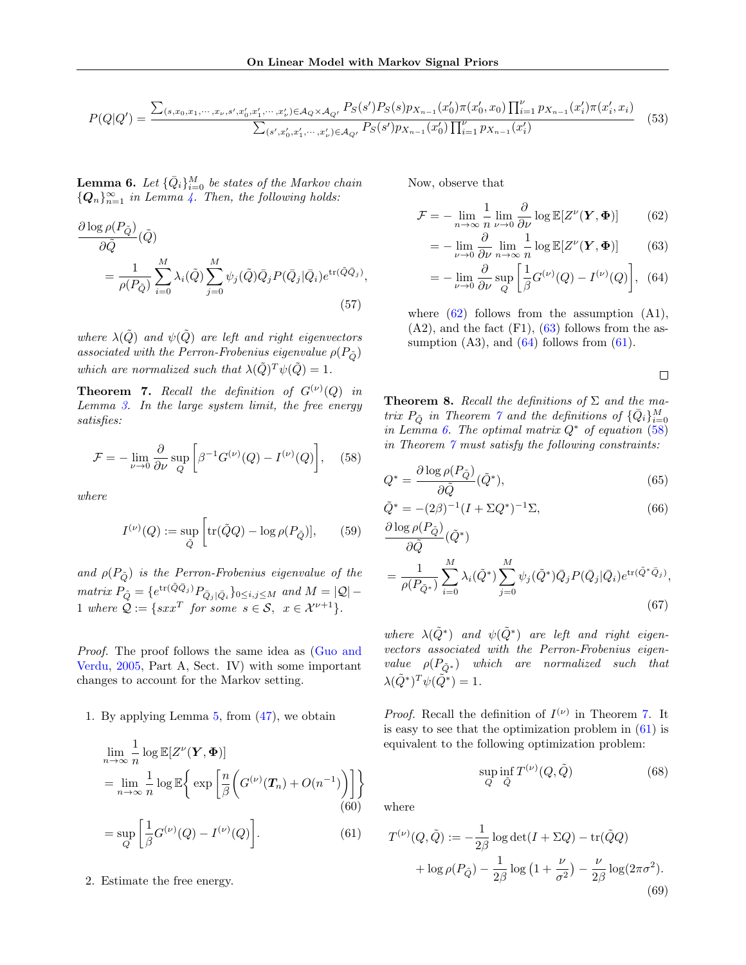$$
P(Q|Q') = \frac{\sum_{(s,x_0,x_1,\dots,x_\nu,s',x'_0,x'_1,\dots,x'_\nu)\in\mathcal{A}_Q\times\mathcal{A}_{Q'}} P_S(s')P_S(s)p_{X_{n-1}}(x'_0)\pi(x'_0,x_0)\prod_{i=1}^\nu p_{X_{n-1}}(x'_i)\pi(x'_i,x_i)}{\sum_{(s',x'_0,x'_1,\dots,x'_\nu)\in\mathcal{A}_{Q'}} P_S(s')p_{X_{n-1}}(x'_0)\prod_{i=1}^\nu p_{X_{n-1}}(x'_i)}\tag{53}
$$

<span id="page-11-6"></span>**Lemma 6.** Let  $\{\bar{Q}_i\}_{i=0}^M$  be states of the Markov chain  ${Q_n}_{n=1}^{\infty}$  in Lemma [4.](#page-10-0) Then, the following holds:

$$
\frac{\partial \log \rho(P_{\tilde{Q}})}{\partial \tilde{Q}}(\tilde{Q}) = \frac{1}{\rho(P_{\tilde{Q}})} \sum_{i=0}^{M} \lambda_i(\tilde{Q}) \sum_{j=0}^{M} \psi_j(\tilde{Q}) \bar{Q}_j P(\bar{Q}_j | \bar{Q}_i) e^{\text{tr}(\tilde{Q}\bar{Q}_j)},
$$
\n(57)

where  $\lambda(Q)$  and  $\psi(Q)$  are left and right eigenvectors associated with the Perron-Frobenius eigenvalue  $\rho(P_{\tilde{O}})$ which are normalized such that  $\lambda(\tilde{Q})^T \psi(\tilde{Q}) = 1$ .

<span id="page-11-5"></span>**Theorem 7.** Recall the definition of  $G^{(\nu)}(Q)$  in Lemma  $3.$  In the large system limit, the free energy satisfies:

$$
\mathcal{F} = -\lim_{\nu \to 0} \frac{\partial}{\partial \nu} \sup_{Q} \left[ \beta^{-1} G^{(\nu)}(Q) - I^{(\nu)}(Q) \right], \quad (58)
$$

where

$$
I^{(\nu)}(Q) := \sup_{\tilde{Q}} \left[ \text{tr}(\tilde{Q}Q) - \log \rho(P_{\tilde{Q}}) \right],\qquad(59)
$$

and  $\rho(P_{\tilde{O}})$  is the Perron-Frobenius eigenvalue of the matrix  $P_{\tilde{Q}} = \{e^{\text{tr}(\tilde{Q}\bar{Q}_j)}P_{\bar{Q}_j|\bar{Q}_i}\}_{0\leq i,j\leq M}$  and  $M = |Q| -$ 1 where  $Q := \{sxx^T \text{ for some } s \in \mathcal{S}, x \in \mathcal{X}^{\nu+1}\}.$ 

Proof. The proof follows the same idea as [\(Guo and](#page-8-10) [Verdu,](#page-8-10) [2005,](#page-8-10) Part A, Sect. IV) with some important changes to account for the Markov setting.

1. By applying Lemma [5,](#page-10-2) from [\(47\)](#page-10-3), we obtain

$$
\lim_{n \to \infty} \frac{1}{n} \log \mathbb{E}[Z^{\nu}(\mathbf{Y}, \mathbf{\Phi})]
$$
\n
$$
= \lim_{n \to \infty} \frac{1}{n} \log \mathbb{E}\left\{\exp\left[\frac{n}{\beta} \left(G^{(\nu)}(\mathbf{T}_n) + O(n^{-1})\right)\right]\right\}
$$
\n(60)

$$
= \sup_{Q} \left[ \frac{1}{\beta} G^{(\nu)}(Q) - I^{(\nu)}(Q) \right]. \tag{61}
$$

2. Estimate the free energy.

Now, observe that

<span id="page-11-0"></span>
$$
\mathcal{F} = -\lim_{n \to \infty} \frac{1}{n} \lim_{\nu \to 0} \frac{\partial}{\partial \nu} \log \mathbb{E}[Z^{\nu}(\mathbf{Y}, \mathbf{\Phi})] \tag{62}
$$

$$
= -\lim_{\nu \to 0} \frac{\partial}{\partial \nu} \lim_{n \to \infty} \frac{1}{n} \log \mathbb{E}[Z^{\nu}(\mathbf{Y}, \mathbf{\Phi})] \tag{63}
$$

$$
= -\lim_{\nu \to 0} \frac{\partial}{\partial \nu} \sup_{Q} \left[ \frac{1}{\beta} G^{(\nu)}(Q) - I^{(\nu)}(Q) \right], \tag{64}
$$

where  $(62)$  follows from the assumption  $(A1)$ ,  $(A2)$ , and the fact  $(F1)$ ,  $(63)$  follows from the assumption  $(A3)$ , and  $(64)$  follows from  $(61)$ .

<span id="page-11-8"></span><span id="page-11-3"></span><span id="page-11-2"></span><span id="page-11-1"></span> $\Box$ 

<span id="page-11-9"></span>**Theorem 8.** Recall the definitions of  $\Sigma$  and the matrix  $P_{\tilde{Q}}$  in Theorem  $\tilde{q}$  and the definitions of  $\{\bar{Q}_i\}_{i=0}^M$ in Lemma [6.](#page-11-6) The optimal matrix  $Q^*$  of equation [\(58\)](#page-11-7) in Theorem [7](#page-11-5) must satisfy the following constraints:

<span id="page-11-7"></span>
$$
Q^* = \frac{\partial \log \rho(P_{\tilde{Q}})}{\partial \tilde{Q}}(\tilde{Q}^*),\tag{65}
$$

$$
\tilde{Q}^* = -(2\beta)^{-1}(I + \Sigma Q^*)^{-1}\Sigma,
$$
  
\n
$$
\partial \log \rho(P_{\tilde{Q}})
$$

$$
\frac{\partial \log P(P_{\tilde{Q}})}{\partial \tilde{Q}}(\tilde{Q}^*)
$$
\n
$$
= \frac{1}{\rho(P_{\tilde{Q}^*})} \sum_{i=0}^{M} \lambda_i(\tilde{Q}^*) \sum_{j=0}^{M} \psi_j(\tilde{Q}^*) \bar{Q}_j P(\bar{Q}_j | \bar{Q}_i) e^{\text{tr}(\tilde{Q}^* \bar{Q}_j)},
$$
\n(67)

where  $\lambda(\tilde{Q}^*)$  and  $\psi(\tilde{Q}^*)$  are left and right eigenvectors associated with the Perron-Frobenius eigenvalue  $\rho(P_{\tilde{Q}*})$  which are normalized such that  $\lambda(\tilde{Q}^*)^T \psi(\tilde{Q}^*) = 1.$ 

*Proof.* Recall the definition of  $I^{(\nu)}$  in Theorem [7.](#page-11-5) It is easy to see that the optimization problem in  $(61)$  is equivalent to the following optimization problem:

$$
\sup_{Q} \inf_{\tilde{Q}} T^{(\nu)}(Q, \tilde{Q}) \tag{68}
$$

<span id="page-11-4"></span>where

$$
T^{(\nu)}(Q,\tilde{Q}) := -\frac{1}{2\beta} \log \det(I + \Sigma Q) - \text{tr}(\tilde{Q}Q)
$$

$$
+ \log \rho(P_{\tilde{Q}}) - \frac{1}{2\beta} \log \left(1 + \frac{\nu}{\sigma^2}\right) - \frac{\nu}{2\beta} \log(2\pi\sigma^2). \tag{69}
$$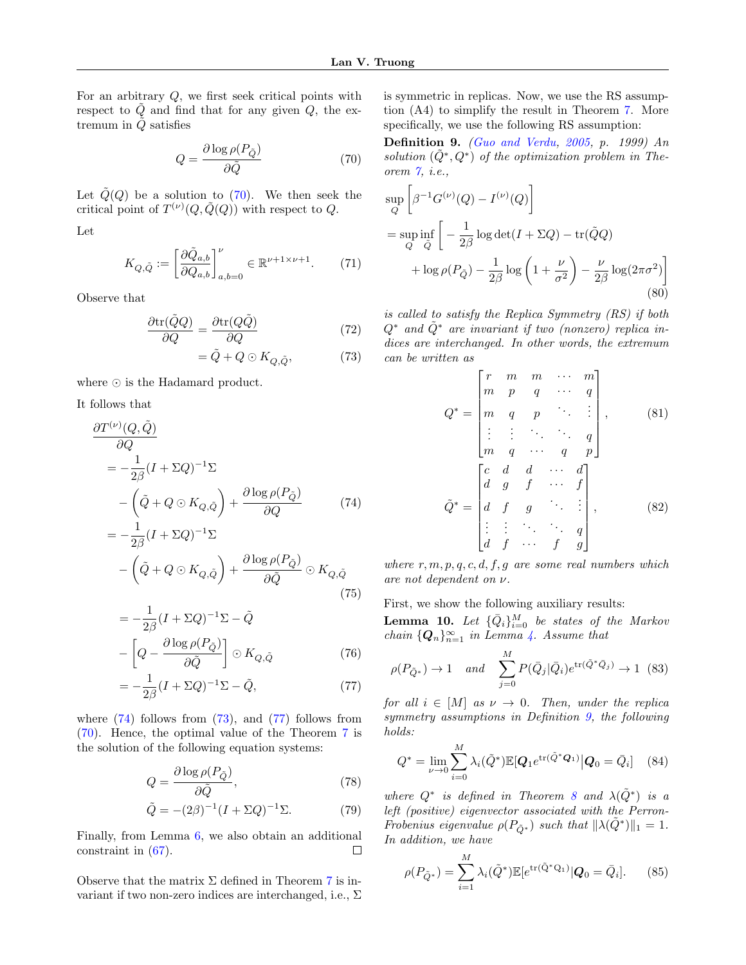For an arbitrary Q, we first seek critical points with respect to  $\tilde{Q}$  and find that for any given  $Q$ , the extremum in  $\ddot{Q}$  satisfies

$$
Q = \frac{\partial \log \rho(P_{\tilde{Q}})}{\partial \tilde{Q}}\tag{70}
$$

Let  $\tilde{Q}(Q)$  be a solution to [\(70\)](#page-12-1). We then seek the critical point of  $T^{(\nu)}(Q,\tilde{Q}(Q))$  with respect to Q.

Let

$$
K_{Q,\tilde{Q}} := \left[\frac{\partial \tilde{Q}_{a,b}}{\partial Q_{a,b}}\right]_{a,b=0}^{\nu} \in \mathbb{R}^{\nu+1 \times \nu+1}.
$$
 (71)

Observe that

$$
\frac{\partial \text{tr}(\tilde{Q}Q)}{\partial Q} = \frac{\partial \text{tr}(Q\tilde{Q})}{\partial Q} \tag{72}
$$

$$
= \tilde{Q} + Q \odot K_{Q, \tilde{Q}}, \tag{73}
$$

where  $\odot$  is the Hadamard product.

It follows that

$$
\frac{\partial T^{(\nu)}(Q, \tilde{Q})}{\partial Q} = -\frac{1}{2\beta} (I + \Sigma Q)^{-1} \Sigma
$$

$$
-\left(\tilde{Q} + Q \odot K_{Q, \tilde{Q}}\right) + \frac{\partial \log \rho(P_{\tilde{Q}})}{\partial Q} \tag{74}
$$

$$
= -\frac{1}{2} (I + \Sigma Q)^{-1} \Sigma
$$

$$
= -\frac{1}{2\beta}(I + \Sigma Q)^{-1}\Sigma
$$

$$
-\left(\tilde{Q} + Q \odot K_{Q,\tilde{Q}}\right) + \frac{\partial \log \rho(P_{\tilde{Q}})}{\partial \tilde{Q}} \odot K_{Q,\tilde{Q}} \tag{75}
$$

$$
= -\frac{1}{2\beta}(I + \Sigma Q)^{-1}\Sigma - \tilde{Q}
$$

$$
- \left[Q - \frac{\partial \log \rho(P_{\tilde{Q}})}{\partial \tilde{Q}}\right] \odot K_{Q, \tilde{Q}} \tag{76}
$$

$$
= -\frac{1}{2\beta}(I + \Sigma Q)^{-1}\Sigma - \tilde{Q},
$$
\n(77)

where  $(74)$  follows from  $(73)$ , and  $(77)$  follows from [\(70\)](#page-12-1). Hence, the optimal value of the Theorem [7](#page-11-5) is the solution of the following equation systems:

$$
Q = \frac{\partial \log \rho(P_{\tilde{Q}})}{\partial \tilde{Q}},\tag{78}
$$

$$
\tilde{Q} = -(2\beta)^{-1}(I + \Sigma Q)^{-1}\Sigma.
$$
 (79)

Finally, from Lemma [6,](#page-11-6) we also obtain an additional constraint in [\(67\)](#page-11-8).  $\Box$ 

Observe that the matrix  $\Sigma$  defined in Theorem [7](#page-11-5) is invariant if two non-zero indices are interchanged, i.e.,  $\Sigma$  is symmetric in replicas. Now, we use the RS assumption (A4) to simplify the result in Theorem [7.](#page-11-5) More specifically, we use the following RS assumption:

<span id="page-12-1"></span><span id="page-12-0"></span>**Definition 9.** [\(Guo and Verdu,](#page-8-10)  $2005$ , p. 1999) An solution  $(\tilde{Q}^*, Q^*)$  of the optimization problem in Theorem [7,](#page-11-5) i.e.,

$$
\sup_{Q} \left[ \beta^{-1} G^{(\nu)}(Q) - I^{(\nu)}(Q) \right]
$$
  
= 
$$
\sup_{Q} \inf_{\tilde{Q}} \left[ -\frac{1}{2\beta} \log \det(I + \Sigma Q) - \text{tr}(\tilde{Q}Q) + \log \rho(P_{\tilde{Q}}) - \frac{1}{2\beta} \log \left( 1 + \frac{\nu}{\sigma^2} \right) - \frac{\nu}{2\beta} \log(2\pi\sigma^2) \right]
$$
(80)

<span id="page-12-3"></span>is called to satisfy the Replica Symmetry (RS) if both  $Q^*$  and  $\tilde{Q}^*$  are invariant if two (nonzero) replica indices are interchanged. In other words, the extremum can be written as

$$
Q^* = \begin{bmatrix} r & m & m & \cdots & m \\ m & p & q & \cdots & q \\ m & q & p & \ddots & \vdots \\ \vdots & \vdots & \ddots & \ddots & q \\ m & q & \cdots & q & p \end{bmatrix}, \qquad (81)
$$

$$
\tilde{Q}^* = \begin{bmatrix} c & d & d & \cdots & d \\ d & g & f & \cdots & f \\ d & f & g & \ddots & \vdots \\ \vdots & \vdots & \ddots & \ddots & q \\ d & f & \cdots & f & g \end{bmatrix}, \qquad (82)
$$

<span id="page-12-2"></span>where  $r, m, p, q, c, d, f, g$  are some real numbers which are not dependent on ν.

First, we show the following auxiliary results:

**Lemma 10.** Let  $\{\bar{Q}_i\}_{i=0}^M$  be states of the Markov chain  ${Q_n}_{n=1}^{\infty}$  in Lemma [4.](#page-10-0) Assume that

<span id="page-12-5"></span>
$$
\rho(P_{\tilde{Q}^*}) \to 1 \quad and \quad \sum_{j=0}^{M} P(\bar{Q}_j | \bar{Q}_i) e^{\text{tr}(\tilde{Q}^* \bar{Q}_j)} \to 1 \tag{83}
$$

<span id="page-12-4"></span>for all  $i \in [M]$  as  $\nu \to 0$ . Then, under the replica symmetry assumptions in Definition [9,](#page-12-0) the following holds:

$$
Q^* = \lim_{\nu \to 0} \sum_{i=0}^{M} \lambda_i(\tilde{Q}^*) \mathbb{E}[Q_1 e^{\text{tr}(\tilde{Q}^* Q_1)} | Q_0 = \bar{Q}_i]
$$
 (84)

where  $Q^*$  is defined in Theorem [8](#page-11-9) and  $\lambda(\tilde{Q}^*)$  is a left (positive) eigenvector associated with the Perron-Frobenius eigenvalue  $\rho(P_{\tilde{Q}^*})$  such that  $\|\lambda(\tilde{Q}^*)\|_1 = 1$ . In addition, we have

$$
\rho(P_{\tilde{Q}^*}) = \sum_{i=1}^{M} \lambda_i(\tilde{Q}^*) \mathbb{E}[e^{\text{tr}(\tilde{Q}^*Q_1)} | Q_0 = \bar{Q}_i]. \tag{85}
$$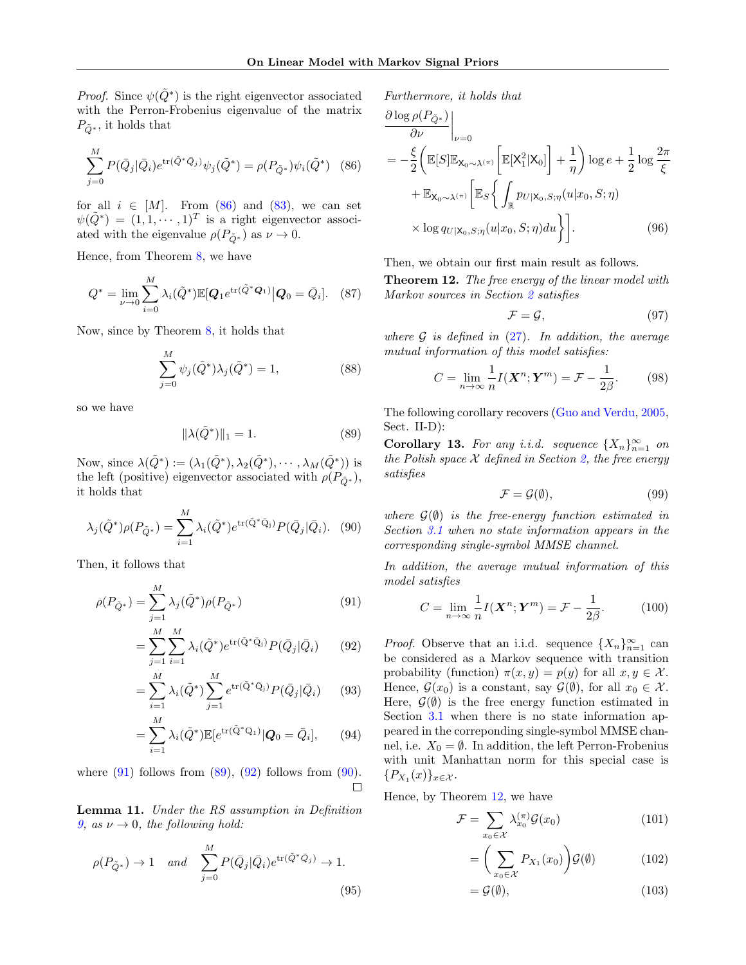*Proof.* Since  $\psi(\tilde{Q}^*)$  is the right eigenvector associated with the Perron-Frobenius eigenvalue of the matrix  $P_{\tilde{Q}^*}$ , it holds that

$$
\sum_{j=0}^{M} P(\bar{Q}_j | \bar{Q}_i) e^{\text{tr}(\bar{Q}^* \bar{Q}_j)} \psi_j(\tilde{Q}^*) = \rho(P_{\tilde{Q}^*}) \psi_i(\tilde{Q}^*) \quad (86)
$$

for all  $i \in [M]$ . From  $(86)$  and  $(83)$ , we can set  $\psi(\tilde{Q}^*) = (1, 1, \dots, 1)^T$  is a right eigenvector associated with the eigenvalue  $\rho(P_{\tilde{Q}^*})$  as  $\nu \to 0$ .

Hence, from Theorem [8,](#page-11-9) we have

$$
Q^* = \lim_{\nu \to 0} \sum_{i=0}^{M} \lambda_i(\tilde{Q}^*) \mathbb{E}[Q_1 e^{\text{tr}(\tilde{Q}^* Q_1)} | Q_0 = \bar{Q}_i]. \quad (87)
$$

Now, since by Theorem [8,](#page-11-9) it holds that

$$
\sum_{j=0}^{M} \psi_j(\tilde{Q}^*) \lambda_j(\tilde{Q}^*) = 1,
$$
\n(88)

so we have

$$
\|\lambda(\tilde{Q}^*)\|_1 = 1.
$$
 (89)

Now, since  $\lambda(\tilde{Q}^*) := (\lambda_1(\tilde{Q}^*), \lambda_2(\tilde{Q}^*), \cdots, \lambda_M(\tilde{Q}^*))$  is the left (positive) eigenvector associated with  $\rho(P_{\tilde{Q}^*})$ , it holds that

$$
\lambda_j(\tilde{Q}^*)\rho(P_{\tilde{Q}^*}) = \sum_{i=1}^M \lambda_i(\tilde{Q}^*)e^{\text{tr}(\tilde{Q}^*\tilde{Q}_i)}P(\bar{Q}_j|\bar{Q}_i). \tag{90}
$$

Then, it follows that

$$
\rho(P_{\tilde{Q}^*}) = \sum_{j=1}^{M} \lambda_j(\tilde{Q}^*) \rho(P_{\tilde{Q}^*})
$$
\n(91)

$$
= \sum_{j=1}^{M} \sum_{i=1}^{M} \lambda_i(\tilde{Q}^*) e^{\text{tr}(\tilde{Q}^* \tilde{Q}_j)} P(\bar{Q}_j | \bar{Q}_i)
$$
(92)

$$
= \sum_{i=1}^{M} \lambda_i(\tilde{Q}^*) \sum_{j=1}^{M} e^{\text{tr}(\tilde{Q}^* \bar{Q}_j)} P(\bar{Q}_j | \bar{Q}_i) \qquad (93)
$$

$$
= \sum_{i=1}^{M} \lambda_i(\tilde{Q}^*) \mathbb{E}[e^{\text{tr}(\tilde{Q}^*Q_1)} | Q_0 = \bar{Q}_i], \qquad (94)
$$

where  $(91)$  follows from  $(89)$ ,  $(92)$  follows from  $(90)$ .  $\Box$ 

Lemma 11. Under the RS assumption in Definition [9,](#page-12-0) as  $\nu \rightarrow 0$ , the following hold:

$$
\rho(P_{\tilde{Q}^*}) \to 1 \quad and \quad \sum_{j=0}^{M} P(\bar{Q}_j | \bar{Q}_i) e^{\text{tr}(\tilde{Q}^* \bar{Q}_j)} \to 1.
$$
\n(95)

Furthermore, it holds that

<span id="page-13-1"></span>
$$
\frac{\partial \log \rho(P_{\tilde{Q}^*})}{\partial \nu}\Big|_{\nu=0}
$$
\n
$$
= -\frac{\xi}{2} \left( \mathbb{E}[S] \mathbb{E}_{\mathbf{X}_0 \sim \lambda^{(\pi)}} \left[ \mathbb{E}[X_1^2 | \mathbf{X}_0] \right] + \frac{1}{\eta} \right) \log e + \frac{1}{2} \log \frac{2\pi}{\xi}
$$
\n
$$
+ \mathbb{E}_{\mathbf{X}_0 \sim \lambda^{(\pi)}} \left[ \mathbb{E}_S \left\{ \int_{\mathbb{R}} p_{U | \mathbf{X}_0, S; \eta} (u | x_0, S; \eta) \right\} \right]
$$
\n
$$
\times \log q_{U | \mathbf{X}_0, S; \eta} (u | x_0, S; \eta) du \right\} \Big].
$$
\n(96)

Then, we obtain our first main result as follows.

<span id="page-13-0"></span>Theorem 12. The free energy of the linear model with Markov sources in Section [2](#page-2-0) satisfies

<span id="page-13-8"></span>
$$
\mathcal{F} = \mathcal{G},\tag{97}
$$

where  $\mathcal G$  is defined in [\(27\)](#page-4-4). In addition, the average mutual information of this model satisfies:

$$
C = \lim_{n \to \infty} \frac{1}{n} I(\mathbf{X}^n; \mathbf{Y}^m) = \mathcal{F} - \frac{1}{2\beta}.
$$
 (98)

<span id="page-13-3"></span>The following corollary recovers [\(Guo and Verdu,](#page-8-10) [2005,](#page-8-10) Sect. II-D):

Corollary 13. For any i.i.d. sequence  $\{X_n\}_{n=1}^{\infty}$  on the Polish space  $\mathcal X$  defined in Section [2,](#page-2-0) the free energy satisfies

<span id="page-13-7"></span><span id="page-13-6"></span>
$$
\mathcal{F} = \mathcal{G}(\emptyset),\tag{99}
$$

<span id="page-13-5"></span>where  $\mathcal{G}(\emptyset)$  is the free-energy function estimated in Section [3.1](#page-4-5) when no state information appears in the corresponding single-symbol MMSE channel.

<span id="page-13-2"></span>In addition, the average mutual information of this model satisfies

$$
C = \lim_{n \to \infty} \frac{1}{n} I(\mathbf{X}^n; \mathbf{Y}^m) = \mathcal{F} - \frac{1}{2\beta}.
$$
 (100)

<span id="page-13-4"></span>*Proof.* Observe that an i.i.d. sequence  $\{X_n\}_{n=1}^{\infty}$  can be considered as a Markov sequence with transition probability (function)  $\pi(x, y) = p(y)$  for all  $x, y \in \mathcal{X}$ . Hence,  $\mathcal{G}(x_0)$  is a constant, say  $\mathcal{G}(\emptyset)$ , for all  $x_0 \in \mathcal{X}$ . Here,  $\mathcal{G}(\emptyset)$  is the free energy function estimated in Section [3.1](#page-4-5) when there is no state information appeared in the correponding single-symbol MMSE channel, i.e.  $X_0 = \emptyset$ . In addition, the left Perron-Frobenius with unit Manhattan norm for this special case is  ${P_{X_1}(x)}_{x \in \mathcal{X}}.$ 

Hence, by Theorem [12,](#page-13-0) we have

$$
\mathcal{F} = \sum_{x_0 \in \mathcal{X}} \lambda_{x_0}^{(\pi)} \mathcal{G}(x_0)
$$
 (101)

$$
= \bigg(\sum_{x_0 \in \mathcal{X}} P_{X_1}(x_0)\bigg) \mathcal{G}(\emptyset) \tag{102}
$$

$$
=\mathcal{G}(\emptyset),\tag{103}
$$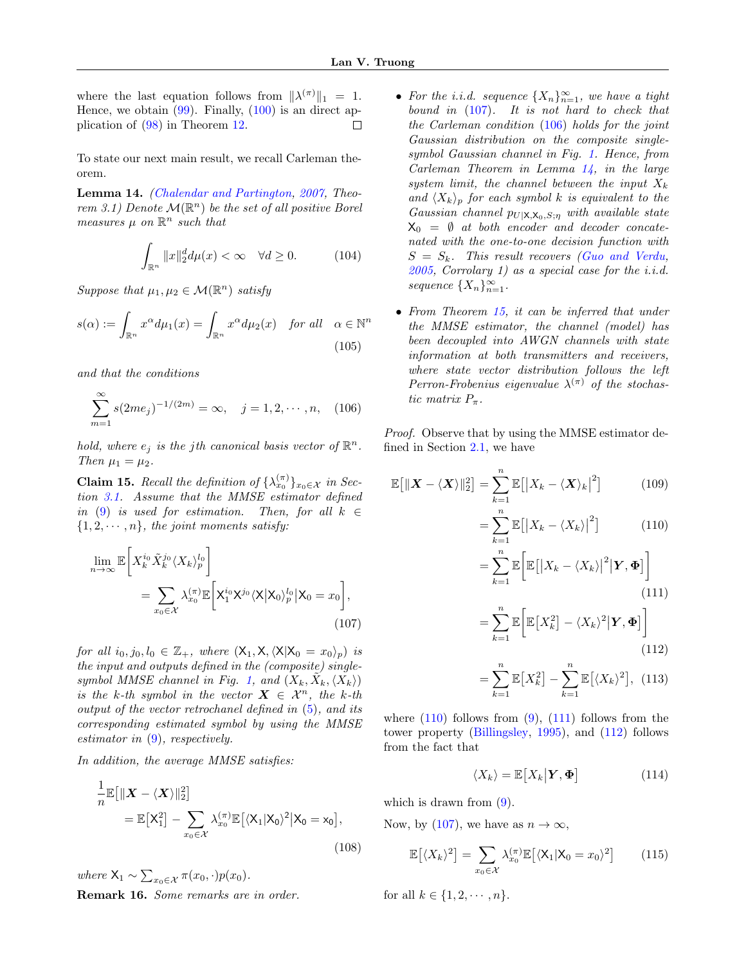where the last equation follows from  $\|\lambda^{(\pi)}\|_1 = 1$ . Hence, we obtain  $(99)$ . Finally,  $(100)$  is an direct application of [\(98\)](#page-13-8) in Theorem [12.](#page-13-0) П

To state our next main result, we recall Carleman theorem.

<span id="page-14-2"></span>Lemma 14. [\(Chalendar and Partington,](#page-8-21) [2007,](#page-8-21) Theorem 3.1) Denote  $\mathcal{M}(\mathbb{R}^n)$  be the set of all positive Borel measures  $\mu$  on  $\mathbb{R}^n$  such that

$$
\int_{\mathbb{R}^n} \|x\|_2^d d\mu(x) < \infty \quad \forall d \ge 0. \tag{104}
$$

Suppose that  $\mu_1, \mu_2 \in \mathcal{M}(\mathbb{R}^n)$  satisfy

$$
s(\alpha) := \int_{\mathbb{R}^n} x^{\alpha} d\mu_1(x) = \int_{\mathbb{R}^n} x^{\alpha} d\mu_2(x) \quad \text{for all} \quad \alpha \in \mathbb{N}^n
$$
\n(105)

and that the conditions

$$
\sum_{m=1}^{\infty} s(2me_j)^{-1/(2m)} = \infty, \quad j = 1, 2, \cdots, n, \quad (106)
$$

hold, where  $e_j$  is the jth canonical basis vector of  $\mathbb{R}^n$ . Then  $\mu_1 = \mu_2$ .

<span id="page-14-3"></span>**Claim 15.** Recall the definition of  $\{\lambda_{x_0}^{(\pi)}\}_{x_0 \in \mathcal{X}}$  in Section [3.1.](#page-4-5) Assume that the MMSE estimator defined in [\(9\)](#page-3-1) is used for estimation. Then, for all  $k \in$  $\{1, 2, \dots, n\}$ , the joint moments satisfy:

$$
\lim_{n \to \infty} \mathbb{E}\bigg[X_k^{i_0} \tilde{X}_k^{j_0} \langle X_k \rangle_p^{l_0}\bigg]
$$
\n
$$
= \sum_{x_0 \in \mathcal{X}} \lambda_{x_0}^{(\pi)} \mathbb{E}\bigg[X_1^{i_0} \chi^{j_0} \langle X | X_0 \rangle_p^{l_0} | X_0 = x_0\bigg],
$$
\n(107)

for all  $i_0, j_0, l_0 \in \mathbb{Z}_+$ , where  $(X_1, X, \langle X|X_0 = x_0 \rangle_p)$  is the input and outputs defined in the (composite) single-symbol MMSE channel in Fig. [1,](#page-5-3) and  $(X_k, \tilde{X}_k, \langle X_k \rangle)$ is the k-th symbol in the vector  $X \in \mathcal{X}^n$ , the k-th output of the vector retrochanel defined in [\(5\)](#page-3-2), and its corresponding estimated symbol by using the MMSE estimator in  $(9)$ , respectively.

In addition, the average MMSE satisfies:

$$
\frac{1}{n}\mathbb{E}\big[\|\boldsymbol{X} - \langle \boldsymbol{X} \rangle\|_2^2\big] \n= \mathbb{E}\big[X_1^2\big] - \sum_{x_0 \in \mathcal{X}} \lambda_{x_0}^{(\pi)} \mathbb{E}\big[\langle X_1 | X_0 \rangle^2 \big| X_0 = x_0\big],
$$
\n(108)

where  $X_1 \sim \sum_{x_0 \in \mathcal{X}} \pi(x_0, \cdot) p(x_0)$ . Remark 16. Some remarks are in order.

- For the i.i.d. sequence  $\{X_n\}_{n=1}^{\infty}$ , we have a tight bound in  $(107)$ . It is not hard to check that the Carleman condition [\(106\)](#page-14-1) holds for the joint Gaussian distribution on the composite singlesymbol Gaussian channel in Fig. [1.](#page-5-3) Hence, from Carleman Theorem in Lemma [14,](#page-14-2) in the large system limit, the channel between the input  $X_k$ and  $\langle X_k \rangle_p$  for each symbol k is equivalent to the Gaussian channel  $p_{U|X,X_0,S;\eta}$  with available state  $X_0 = \emptyset$  at both encoder and decoder concatenated with the one-to-one decision function with  $S = S_k$ . This result recovers [\(Guo and Verdu,](#page-8-10)  $2005$ , Corrolary 1) as a special case for the i.i.d. sequence  $\{X_n\}_{n=1}^{\infty}$ .
- From Theorem [15,](#page-14-3) it can be inferred that under the MMSE estimator, the channel (model) has been decoupled into AWGN channels with state information at both transmitters and receivers, where state vector distribution follows the left Perron-Frobenius eigenvalue  $\lambda^{(\pi)}$  of the stochastic matrix  $P_{\pi}$ .

<span id="page-14-1"></span>Proof. Observe that by using the MMSE estimator defined in Section [2.1,](#page-3-3) we have

$$
\mathbb{E}\big[\|\boldsymbol{X} - \langle \boldsymbol{X} \rangle\|_2^2\big] = \sum_{k=1}^n \mathbb{E}\big[\big|X_k - \langle \boldsymbol{X} \rangle_k\big|^2\big] \tag{109}
$$

<span id="page-14-4"></span>
$$
= \sum_{k=1}^{n} \mathbb{E} \left[ \left| X_k - \langle X_k \rangle \right|^2 \right] \tag{110}
$$

$$
= \sum_{k=1}^{n} \mathbb{E}\bigg[\mathbb{E}\big[\big|X_k - \langle X_k \rangle\big|^2 \big|\mathbf{Y}, \mathbf{\Phi}\big]\bigg] \tag{111}
$$

<span id="page-14-5"></span>
$$
= \sum_{k=1}^{n} \mathbb{E}\bigg[\mathbb{E}\big[X_k^2\big] - \langle X_k \rangle^2 \big|\mathbf{Y}, \mathbf{\Phi}\big]\bigg]
$$
\n(112)

<span id="page-14-7"></span><span id="page-14-6"></span>
$$
= \sum_{k=1}^{n} \mathbb{E}[X_k^2] - \sum_{k=1}^{n} \mathbb{E}[(X_k)^2], \ (113)
$$

<span id="page-14-0"></span>where  $(110)$  follows from  $(9)$ ,  $(111)$  follows from the tower property [\(Billingsley,](#page-8-22) [1995\)](#page-8-22), and [\(112\)](#page-14-6) follows from the fact that

<span id="page-14-8"></span>
$$
\langle X_k \rangle = \mathbb{E}\big[X_k \big| \mathbf{Y}, \mathbf{\Phi}\big] \tag{114}
$$

which is drawn from  $(9)$ .

<span id="page-14-9"></span>Now, by [\(107\)](#page-14-0), we have as  $n \to \infty$ ,

$$
\mathbb{E}\left[\langle X_k \rangle^2\right] = \sum_{x_0 \in \mathcal{X}} \lambda_{x_0}^{(\pi)} \mathbb{E}\left[\langle X_1 | X_0 = x_0 \rangle^2\right] \tag{115}
$$

for all  $k \in \{1, 2, \dots, n\}.$